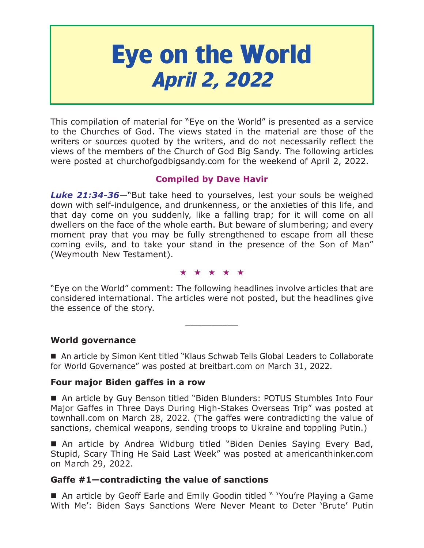# **Eye on the World April 2, 2022**

This compilation of material for "Eye on the World" is presented as a service to the Churches of God. The views stated in the material are those of the writers or sources quoted by the writers, and do not necessarily reflect the views of the members of the Church of God Big Sandy. The following articles were posted at churchofgodbigsandy.com for the weekend of April 2, 2022.

# **Compiled by Dave Havir**

*Luke 21:34-36*—"But take heed to yourselves, lest your souls be weighed down with self-indulgence, and drunkenness, or the anxieties of this life, and that day come on you suddenly, like a falling trap; for it will come on all dwellers on the face of the whole earth. But beware of slumbering; and every moment pray that you may be fully strengthened to escape from all these coming evils, and to take your stand in the presence of the Son of Man" (Weymouth New Testament).

#### ★★★★★

"Eye on the World" comment: The following headlines involve articles that are considered international. The articles were not posted, but the headlines give the essence of the story.

 $\overline{\phantom{a}}$  , where  $\overline{\phantom{a}}$ 

**World governance**

■ An article by Simon Kent titled "Klaus Schwab Tells Global Leaders to Collaborate for World Governance" was posted at breitbart.com on March 31, 2022.

# **Four major Biden gaffes in a row**

■ An article by Guy Benson titled "Biden Blunders: POTUS Stumbles Into Four Major Gaffes in Three Days During High-Stakes Overseas Trip" was posted at townhall.com on March 28, 2022. (The gaffes were contradicting the value of sanctions, chemical weapons, sending troops to Ukraine and toppling Putin.)

■ An article by Andrea Widburg titled "Biden Denies Saying Every Bad, Stupid, Scary Thing He Said Last Week" was posted at americanthinker.com on March 29, 2022.

# **Gaffe #1—contradicting the value of sanctions**

■ An article by Geoff Earle and Emily Goodin titled " 'You're Playing a Game With Me': Biden Says Sanctions Were Never Meant to Deter 'Brute' Putin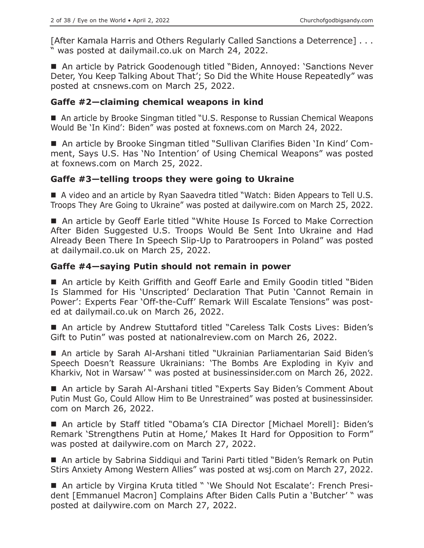[After Kamala Harris and Others Regularly Called Sanctions a Deterrence] . . . " was posted at dailymail.co.uk on March 24, 2022.

■ An article by Patrick Goodenough titled "Biden, Annoyed: 'Sanctions Never Deter, You Keep Talking About That'; So Did the White House Repeatedly" was posted at cnsnews.com on March 25, 2022.

## **Gaffe #2—claiming chemical weapons in kind**

■ An article by Brooke Singman titled "U.S. Response to Russian Chemical Weapons Would Be 'In Kind': Biden" was posted at foxnews.com on March 24, 2022.

 An article by Brooke Singman titled "Sullivan Clarifies Biden 'In Kind' Comment, Says U.S. Has 'No Intention' of Using Chemical Weapons" was posted at foxnews.com on March 25, 2022.

## **Gaffe #3—telling troops they were going to Ukraine**

 A video and an article by Ryan Saavedra titled "Watch: Biden Appears to Tell U.S. Troops They Are Going to Ukraine" was posted at dailywire.com on March 25, 2022.

■ An article by Geoff Earle titled "White House Is Forced to Make Correction After Biden Suggested U.S. Troops Would Be Sent Into Ukraine and Had Already Been There In Speech Slip-Up to Paratroopers in Poland" was posted at dailymail.co.uk on March 25, 2022.

## **Gaffe #4—saying Putin should not remain in power**

■ An article by Keith Griffith and Geoff Earle and Emily Goodin titled "Biden Is Slammed for His 'Unscripted' Declaration That Putin 'Cannot Remain in Power': Experts Fear 'Off-the-Cuff' Remark Will Escalate Tensions" was posted at dailymail.co.uk on March 26, 2022.

■ An article by Andrew Stuttaford titled "Careless Talk Costs Lives: Biden's Gift to Putin" was posted at nationalreview.com on March 26, 2022.

 An article by Sarah Al-Arshani titled "Ukrainian Parliamentarian Said Biden's Speech Doesn't Reassure Ukrainians: 'The Bombs Are Exploding in Kyiv and Kharkiv, Not in Warsaw' " was posted at businessinsider.com on March 26, 2022.

■ An article by Sarah Al-Arshani titled "Experts Say Biden's Comment About Putin Must Go, Could Allow Him to Be Unrestrained" was posted at businessinsider. com on March 26, 2022.

■ An article by Staff titled "Obama's CIA Director [Michael Morell]: Biden's Remark 'Strengthens Putin at Home,' Makes It Hard for Opposition to Form" was posted at dailywire.com on March 27, 2022.

■ An article by Sabrina Siddiqui and Tarini Parti titled "Biden's Remark on Putin Stirs Anxiety Among Western Allies" was posted at wsj.com on March 27, 2022.

■ An article by Virgina Kruta titled " 'We Should Not Escalate': French President [Emmanuel Macron] Complains After Biden Calls Putin a 'Butcher' " was posted at dailywire.com on March 27, 2022.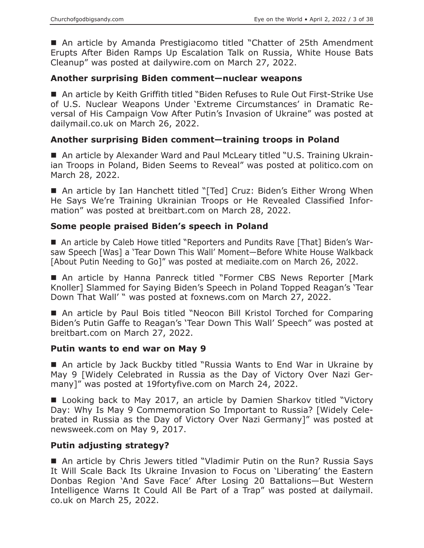■ An article by Amanda Prestigiacomo titled "Chatter of 25th Amendment Erupts After Biden Ramps Up Escalation Talk on Russia, White House Bats Cleanup" was posted at dailywire.com on March 27, 2022.

#### **Another surprising Biden comment—nuclear weapons**

■ An article by Keith Griffith titled "Biden Refuses to Rule Out First-Strike Use of U.S. Nuclear Weapons Under 'Extreme Circumstances' in Dramatic Reversal of His Campaign Vow After Putin's Invasion of Ukraine" was posted at dailymail.co.uk on March 26, 2022.

#### **Another surprising Biden comment—training troops in Poland**

■ An article by Alexander Ward and Paul McLeary titled "U.S. Training Ukrainian Troops in Poland, Biden Seems to Reveal" was posted at politico.com on March 28, 2022.

■ An article by Ian Hanchett titled "[Ted] Cruz: Biden's Either Wrong When He Says We're Training Ukrainian Troops or He Revealed Classified Information" was posted at breitbart.com on March 28, 2022.

#### **Some people praised Biden's speech in Poland**

■ An article by Caleb Howe titled "Reporters and Pundits Rave [That] Biden's Warsaw Speech [Was] a 'Tear Down This Wall' Moment—Before White House Walkback [About Putin Needing to Go]" was posted at mediaite.com on March 26, 2022.

■ An article by Hanna Panreck titled "Former CBS News Reporter [Mark Knoller] Slammed for Saying Biden's Speech in Poland Topped Reagan's 'Tear Down That Wall' " was posted at foxnews.com on March 27, 2022.

■ An article by Paul Bois titled "Neocon Bill Kristol Torched for Comparing Biden's Putin Gaffe to Reagan's 'Tear Down This Wall' Speech" was posted at breitbart.com on March 27, 2022.

#### **Putin wants to end war on May 9**

■ An article by Jack Buckby titled "Russia Wants to End War in Ukraine by May 9 [Widely Celebrated in Russia as the Day of Victory Over Nazi Germany]" was posted at 19fortyfive.com on March 24, 2022.

■ Looking back to May 2017, an article by Damien Sharkov titled "Victory Day: Why Is May 9 Commemoration So Important to Russia? [Widely Celebrated in Russia as the Day of Victory Over Nazi Germany]" was posted at newsweek.com on May 9, 2017.

#### **Putin adjusting strategy?**

 An article by Chris Jewers titled "Vladimir Putin on the Run? Russia Says It Will Scale Back Its Ukraine Invasion to Focus on 'Liberating' the Eastern Donbas Region 'And Save Face' After Losing 20 Battalions—But Western Intelligence Warns It Could All Be Part of a Trap" was posted at dailymail. co.uk on March 25, 2022.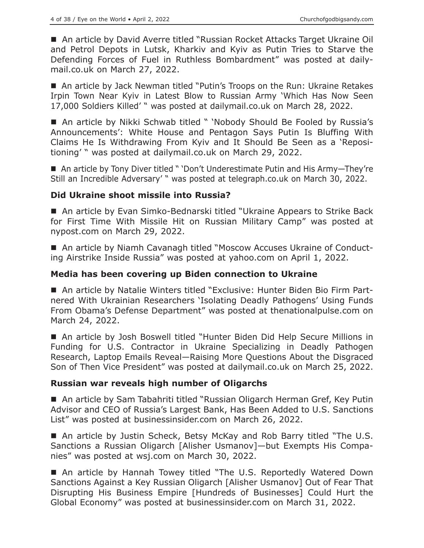■ An article by David Averre titled "Russian Rocket Attacks Target Ukraine Oil and Petrol Depots in Lutsk, Kharkiv and Kyiv as Putin Tries to Starve the Defending Forces of Fuel in Ruthless Bombardment" was posted at dailymail.co.uk on March 27, 2022.

■ An article by Jack Newman titled "Putin's Troops on the Run: Ukraine Retakes Irpin Town Near Kyiv in Latest Blow to Russian Army 'Which Has Now Seen 17,000 Soldiers Killed' " was posted at dailymail.co.uk on March 28, 2022.

■ An article by Nikki Schwab titled " 'Nobody Should Be Fooled by Russia's Announcements': White House and Pentagon Says Putin Is Bluffing With Claims He Is Withdrawing From Kyiv and It Should Be Seen as a 'Repositioning' " was posted at dailymail.co.uk on March 29, 2022.

■ An article by Tony Diver titled " 'Don't Underestimate Putin and His Army-They're Still an Incredible Adversary' " was posted at telegraph.co.uk on March 30, 2022.

## **Did Ukraine shoot missile into Russia?**

■ An article by Evan Simko-Bednarski titled "Ukraine Appears to Strike Back for First Time With Missile Hit on Russian Military Camp" was posted at nypost.com on March 29, 2022.

■ An article by Niamh Cavanagh titled "Moscow Accuses Ukraine of Conducting Airstrike Inside Russia" was posted at yahoo.com on April 1, 2022.

#### **Media has been covering up Biden connection to Ukraine**

 An article by Natalie Winters titled "Exclusive: Hunter Biden Bio Firm Partnered With Ukrainian Researchers 'Isolating Deadly Pathogens' Using Funds From Obama's Defense Department" was posted at thenationalpulse.com on March 24, 2022.

 An article by Josh Boswell titled "Hunter Biden Did Help Secure Millions in Funding for U.S. Contractor in Ukraine Specializing in Deadly Pathogen Research, Laptop Emails Reveal—Raising More Questions About the Disgraced Son of Then Vice President" was posted at dailymail.co.uk on March 25, 2022.

#### **Russian war reveals high number of Oligarchs**

■ An article by Sam Tabahriti titled "Russian Oligarch Herman Gref, Key Putin Advisor and CEO of Russia's Largest Bank, Has Been Added to U.S. Sanctions List" was posted at businessinsider.com on March 26, 2022.

■ An article by Justin Scheck, Betsy McKay and Rob Barry titled "The U.S. Sanctions a Russian Oligarch [Alisher Usmanov]—but Exempts His Companies" was posted at wsj.com on March 30, 2022.

■ An article by Hannah Towey titled "The U.S. Reportedly Watered Down Sanctions Against a Key Russian Oligarch [Alisher Usmanov] Out of Fear That Disrupting His Business Empire [Hundreds of Businesses] Could Hurt the Global Economy" was posted at businessinsider.com on March 31, 2022.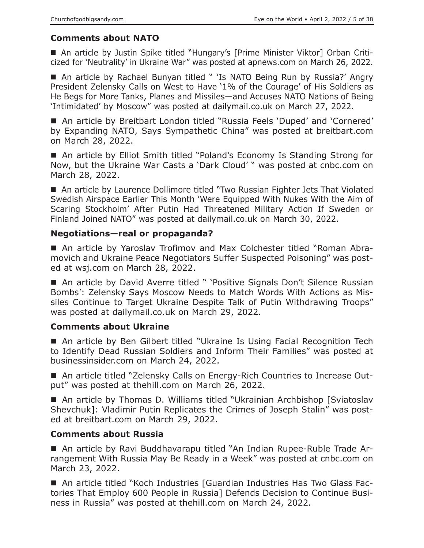## **Comments about NATO**

 An article by Justin Spike titled "Hungary's [Prime Minister Viktor] Orban Criticized for 'Neutrality' in Ukraine War" was posted at apnews.com on March 26, 2022.

■ An article by Rachael Bunyan titled " 'Is NATO Being Run by Russia?' Angry President Zelensky Calls on West to Have '1% of the Courage' of His Soldiers as He Begs for More Tanks, Planes and Missiles—and Accuses NATO Nations of Being 'Intimidated' by Moscow" was posted at dailymail.co.uk on March 27, 2022.

■ An article by Breitbart London titled "Russia Feels 'Duped' and 'Cornered' by Expanding NATO, Says Sympathetic China" was posted at breitbart.com on March 28, 2022.

■ An article by Elliot Smith titled "Poland's Economy Is Standing Strong for Now, but the Ukraine War Casts a 'Dark Cloud' " was posted at cnbc.com on March 28, 2022.

■ An article by Laurence Dollimore titled "Two Russian Fighter Jets That Violated Swedish Airspace Earlier This Month 'Were Equipped With Nukes With the Aim of Scaring Stockholm' After Putin Had Threatened Military Action If Sweden or Finland Joined NATO" was posted at dailymail.co.uk on March 30, 2022.

# **Negotiations—real or propaganda?**

 An article by Yaroslav Trofimov and Max Colchester titled "Roman Abramovich and Ukraine Peace Negotiators Suffer Suspected Poisoning" was posted at wsj.com on March 28, 2022.

■ An article by David Averre titled " 'Positive Signals Don't Silence Russian Bombs': Zelensky Says Moscow Needs to Match Words With Actions as Missiles Continue to Target Ukraine Despite Talk of Putin Withdrawing Troops" was posted at dailymail.co.uk on March 29, 2022.

## **Comments about Ukraine**

■ An article by Ben Gilbert titled "Ukraine Is Using Facial Recognition Tech to Identify Dead Russian Soldiers and Inform Their Families" was posted at businessinsider.com on March 24, 2022.

■ An article titled "Zelensky Calls on Energy-Rich Countries to Increase Output" was posted at thehill.com on March 26, 2022.

■ An article by Thomas D. Williams titled "Ukrainian Archbishop [Sviatoslav] Shevchuk]: Vladimir Putin Replicates the Crimes of Joseph Stalin" was posted at breitbart.com on March 29, 2022.

## **Comments about Russia**

 An article by Ravi Buddhavarapu titled "An Indian Rupee-Ruble Trade Arrangement With Russia May Be Ready in a Week" was posted at cnbc.com on March 23, 2022.

 An article titled "Koch Industries [Guardian Industries Has Two Glass Factories That Employ 600 People in Russia] Defends Decision to Continue Business in Russia" was posted at thehill.com on March 24, 2022.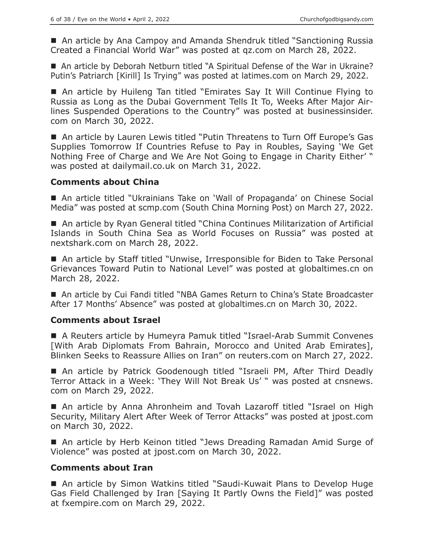■ An article by Ana Campoy and Amanda Shendruk titled "Sanctioning Russia Created a Financial World War" was posted at qz.com on March 28, 2022.

■ An article by Deborah Netburn titled "A Spiritual Defense of the War in Ukraine? Putin's Patriarch [Kirill] Is Trying" was posted at latimes.com on March 29, 2022.

■ An article by Huileng Tan titled "Emirates Say It Will Continue Flying to Russia as Long as the Dubai Government Tells It To, Weeks After Major Airlines Suspended Operations to the Country" was posted at businessinsider. com on March 30, 2022.

■ An article by Lauren Lewis titled "Putin Threatens to Turn Off Europe's Gas Supplies Tomorrow If Countries Refuse to Pay in Roubles, Saying 'We Get Nothing Free of Charge and We Are Not Going to Engage in Charity Either' " was posted at dailymail.co.uk on March 31, 2022.

#### **Comments about China**

 An article titled "Ukrainians Take on 'Wall of Propaganda' on Chinese Social Media" was posted at scmp.com (South China Morning Post) on March 27, 2022.

■ An article by Ryan General titled "China Continues Militarization of Artificial Islands in South China Sea as World Focuses on Russia" was posted at nextshark.com on March 28, 2022.

■ An article by Staff titled "Unwise, Irresponsible for Biden to Take Personal Grievances Toward Putin to National Level" was posted at globaltimes.cn on March 28, 2022.

■ An article by Cui Fandi titled "NBA Games Return to China's State Broadcaster After 17 Months' Absence" was posted at globaltimes.cn on March 30, 2022.

#### **Comments about Israel**

■ A Reuters article by Humeyra Pamuk titled "Israel-Arab Summit Convenes [With Arab Diplomats From Bahrain, Morocco and United Arab Emirates], Blinken Seeks to Reassure Allies on Iran" on reuters.com on March 27, 2022.

■ An article by Patrick Goodenough titled "Israeli PM, After Third Deadly Terror Attack in a Week: 'They Will Not Break Us' " was posted at cnsnews. com on March 29, 2022.

 An article by Anna Ahronheim and Tovah Lazaroff titled "Israel on High Security, Military Alert After Week of Terror Attacks" was posted at jpost.com on March 30, 2022.

■ An article by Herb Keinon titled "Jews Dreading Ramadan Amid Surge of Violence" was posted at jpost.com on March 30, 2022.

#### **Comments about Iran**

■ An article by Simon Watkins titled "Saudi-Kuwait Plans to Develop Huge Gas Field Challenged by Iran [Saying It Partly Owns the Field]" was posted at fxempire.com on March 29, 2022.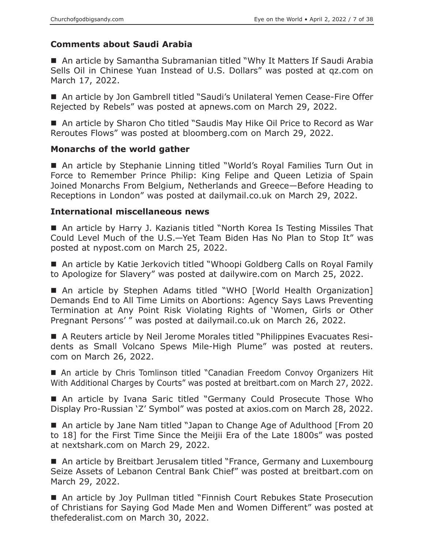# **Comments about Saudi Arabia**

■ An article by Samantha Subramanian titled "Why It Matters If Saudi Arabia Sells Oil in Chinese Yuan Instead of U.S. Dollars" was posted at qz.com on March 17, 2022.

■ An article by Jon Gambrell titled "Saudi's Unilateral Yemen Cease-Fire Offer Rejected by Rebels" was posted at apnews.com on March 29, 2022.

■ An article by Sharon Cho titled "Saudis May Hike Oil Price to Record as War Reroutes Flows" was posted at bloomberg.com on March 29, 2022.

## **Monarchs of the world gather**

■ An article by Stephanie Linning titled "World's Royal Families Turn Out in Force to Remember Prince Philip: King Felipe and Queen Letizia of Spain Joined Monarchs From Belgium, Netherlands and Greece—Before Heading to Receptions in London" was posted at dailymail.co.uk on March 29, 2022.

# **International miscellaneous news**

■ An article by Harry J. Kazianis titled "North Korea Is Testing Missiles That Could Level Much of the U.S.—Yet Team Biden Has No Plan to Stop It" was posted at nypost.com on March 25, 2022.

■ An article by Katie Jerkovich titled "Whoopi Goldberg Calls on Royal Family to Apologize for Slavery" was posted at dailywire.com on March 25, 2022.

■ An article by Stephen Adams titled "WHO [World Health Organization] Demands End to All Time Limits on Abortions: Agency Says Laws Preventing Termination at Any Point Risk Violating Rights of 'Women, Girls or Other Pregnant Persons' " was posted at dailymail.co.uk on March 26, 2022.

 A Reuters article by Neil Jerome Morales titled "Philippines Evacuates Residents as Small Volcano Spews Mile-High Plume" was posted at reuters. com on March 26, 2022.

■ An article by Chris Tomlinson titled "Canadian Freedom Convoy Organizers Hit With Additional Charges by Courts" was posted at breitbart.com on March 27, 2022.

 An article by Ivana Saric titled "Germany Could Prosecute Those Who Display Pro-Russian 'Z' Symbol" was posted at axios.com on March 28, 2022.

■ An article by Jane Nam titled "Japan to Change Age of Adulthood [From 20 to 18] for the First Time Since the Meijii Era of the Late 1800s" was posted at nextshark.com on March 29, 2022.

■ An article by Breitbart Jerusalem titled "France, Germany and Luxembourg Seize Assets of Lebanon Central Bank Chief" was posted at breitbart.com on March 29, 2022.

■ An article by Joy Pullman titled "Finnish Court Rebukes State Prosecution of Christians for Saying God Made Men and Women Different" was posted at thefederalist.com on March 30, 2022.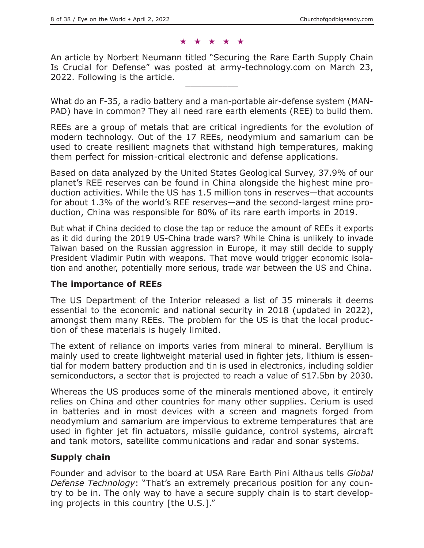#### ★★★★★

An article by Norbert Neumann titled "Securing the Rare Earth Supply Chain Is Crucial for Defense" was posted at army-technology.com on March 23, 2022. Following is the article.

What do an F-35, a radio battery and a man-portable air-defense system (MAN-PAD) have in common? They all need rare earth elements (REE) to build them.

REEs are a group of metals that are critical ingredients for the evolution of modern technology. Out of the 17 REEs, neodymium and samarium can be used to create resilient magnets that withstand high temperatures, making them perfect for mission-critical electronic and defense applications.

Based on data analyzed by the United States Geological Survey, 37.9% of our planet's REE reserves can be found in China alongside the highest mine production activities. While the US has 1.5 million tons in reserves—that accounts for about 1.3% of the world's REE reserves—and the second-largest mine production, China was responsible for 80% of its rare earth imports in 2019.

But what if China decided to close the tap or reduce the amount of REEs it exports as it did during the 2019 US-China trade wars? While China is unlikely to invade Taiwan based on the Russian aggression in Europe, it may still decide to supply President Vladimir Putin with weapons. That move would trigger economic isolation and another, potentially more serious, trade war between the US and China.

#### **The importance of REEs**

The US Department of the Interior released a list of 35 minerals it deems essential to the economic and national security in 2018 (updated in 2022), amongst them many REEs. The problem for the US is that the local production of these materials is hugely limited.

The extent of reliance on imports varies from mineral to mineral. Beryllium is mainly used to create lightweight material used in fighter jets, lithium is essential for modern battery production and tin is used in electronics, including soldier semiconductors, a sector that is projected to reach a value of \$17.5bn by 2030.

Whereas the US produces some of the minerals mentioned above, it entirely relies on China and other countries for many other supplies. Cerium is used in batteries and in most devices with a screen and magnets forged from neodymium and samarium are impervious to extreme temperatures that are used in fighter jet fin actuators, missile guidance, control systems, aircraft and tank motors, satellite communications and radar and sonar systems.

## **Supply chain**

Founder and advisor to the board at USA Rare Earth Pini Althaus tells *Global Defense Technology*: "That's an extremely precarious position for any country to be in. The only way to have a secure supply chain is to start developing projects in this country [the U.S.]."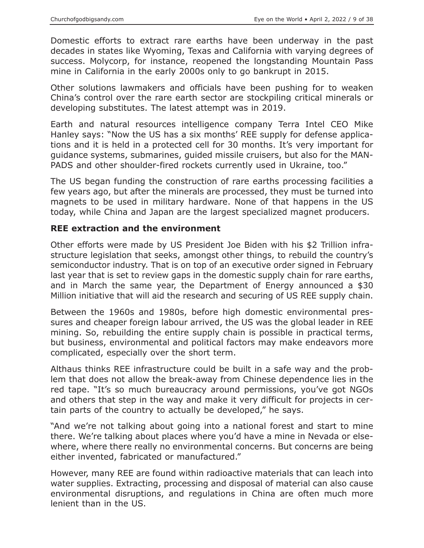Domestic efforts to extract rare earths have been underway in the past decades in states like Wyoming, Texas and California with varying degrees of success. Molycorp, for instance, reopened the longstanding Mountain Pass mine in California in the early 2000s only to go bankrupt in 2015.

Other solutions lawmakers and officials have been pushing for to weaken China's control over the rare earth sector are stockpiling critical minerals or developing substitutes. The latest attempt was in 2019.

Earth and natural resources intelligence company Terra Intel CEO Mike Hanley says: "Now the US has a six months' REE supply for defense applications and it is held in a protected cell for 30 months. It's very important for guidance systems, submarines, guided missile cruisers, but also for the MAN-PADS and other shoulder-fired rockets currently used in Ukraine, too."

The US began funding the construction of rare earths processing facilities a few years ago, but after the minerals are processed, they must be turned into magnets to be used in military hardware. None of that happens in the US today, while China and Japan are the largest specialized magnet producers.

## **REE extraction and the environment**

Other efforts were made by US President Joe Biden with his \$2 Trillion infrastructure legislation that seeks, amongst other things, to rebuild the country's semiconductor industry. That is on top of an executive order signed in February last year that is set to review gaps in the domestic supply chain for rare earths, and in March the same year, the Department of Energy announced a \$30 Million initiative that will aid the research and securing of US REE supply chain.

Between the 1960s and 1980s, before high domestic environmental pressures and cheaper foreign labour arrived, the US was the global leader in REE mining. So, rebuilding the entire supply chain is possible in practical terms, but business, environmental and political factors may make endeavors more complicated, especially over the short term.

Althaus thinks REE infrastructure could be built in a safe way and the problem that does not allow the break-away from Chinese dependence lies in the red tape. "It's so much bureaucracy around permissions, you've got NGOs and others that step in the way and make it very difficult for projects in certain parts of the country to actually be developed," he says.

"And we're not talking about going into a national forest and start to mine there. We're talking about places where you'd have a mine in Nevada or elsewhere, where there really no environmental concerns. But concerns are being either invented, fabricated or manufactured."

However, many REE are found within radioactive materials that can leach into water supplies. Extracting, processing and disposal of material can also cause environmental disruptions, and regulations in China are often much more lenient than in the US.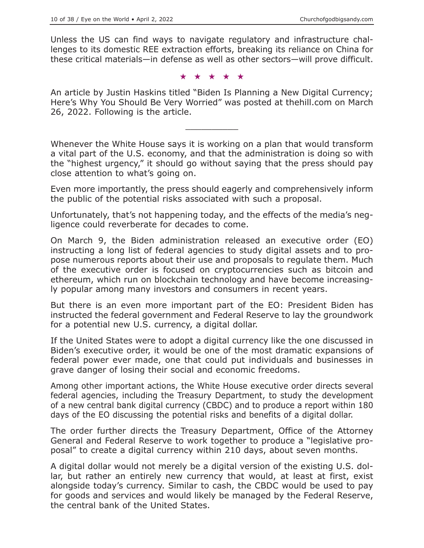Unless the US can find ways to navigate regulatory and infrastructure challenges to its domestic REE extraction efforts, breaking its reliance on China for these critical materials—in defense as well as other sectors—will prove difficult.

★★★★★

An article by Justin Haskins titled "Biden Is Planning a New Digital Currency; Here's Why You Should Be Very Worried" was posted at thehill.com on March 26, 2022. Following is the article.

 $\overline{\phantom{a}}$  , where  $\overline{\phantom{a}}$ 

Whenever the White House says it is working on a plan that would transform a vital part of the U.S. economy, and that the administration is doing so with the "highest urgency," it should go without saying that the press should pay close attention to what's going on.

Even more importantly, the press should eagerly and comprehensively inform the public of the potential risks associated with such a proposal.

Unfortunately, that's not happening today, and the effects of the media's negligence could reverberate for decades to come.

On March 9, the Biden administration released an executive order (EO) instructing a long list of federal agencies to study digital assets and to propose numerous reports about their use and proposals to regulate them. Much of the executive order is focused on cryptocurrencies such as bitcoin and ethereum, which run on blockchain technology and have become increasingly popular among many investors and consumers in recent years.

But there is an even more important part of the EO: President Biden has instructed the federal government and Federal Reserve to lay the groundwork for a potential new U.S. currency, a digital dollar.

If the United States were to adopt a digital currency like the one discussed in Biden's executive order, it would be one of the most dramatic expansions of federal power ever made, one that could put individuals and businesses in grave danger of losing their social and economic freedoms.

Among other important actions, the White House executive order directs several federal agencies, including the Treasury Department, to study the development of a new central bank digital currency (CBDC) and to produce a report within 180 days of the EO discussing the potential risks and benefits of a digital dollar.

The order further directs the Treasury Department, Office of the Attorney General and Federal Reserve to work together to produce a "legislative proposal" to create a digital currency within 210 days, about seven months.

A digital dollar would not merely be a digital version of the existing U.S. dollar, but rather an entirely new currency that would, at least at first, exist alongside today's currency. Similar to cash, the CBDC would be used to pay for goods and services and would likely be managed by the Federal Reserve, the central bank of the United States.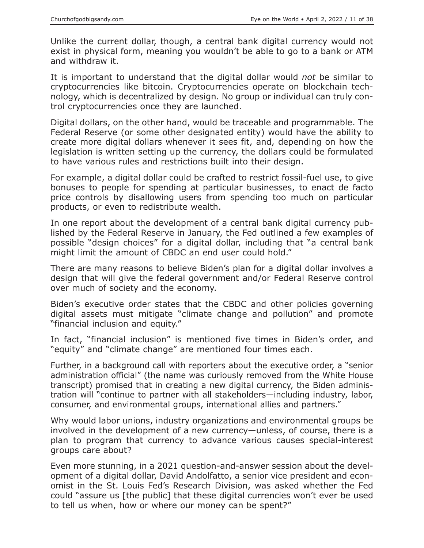Unlike the current dollar, though, a central bank digital currency would not exist in physical form, meaning you wouldn't be able to go to a bank or ATM and withdraw it.

It is important to understand that the digital dollar would *not* be similar to cryptocurrencies like bitcoin. Cryptocurrencies operate on blockchain technology, which is decentralized by design. No group or individual can truly control cryptocurrencies once they are launched.

Digital dollars, on the other hand, would be traceable and programmable. The Federal Reserve (or some other designated entity) would have the ability to create more digital dollars whenever it sees fit, and, depending on how the legislation is written setting up the currency, the dollars could be formulated to have various rules and restrictions built into their design.

For example, a digital dollar could be crafted to restrict fossil-fuel use, to give bonuses to people for spending at particular businesses, to enact de facto price controls by disallowing users from spending too much on particular products, or even to redistribute wealth.

In one report about the development of a central bank digital currency published by the Federal Reserve in January, the Fed outlined a few examples of possible "design choices" for a digital dollar, including that "a central bank might limit the amount of CBDC an end user could hold."

There are many reasons to believe Biden's plan for a digital dollar involves a design that will give the federal government and/or Federal Reserve control over much of society and the economy.

Biden's executive order states that the CBDC and other policies governing digital assets must mitigate "climate change and pollution" and promote "financial inclusion and equity."

In fact, "financial inclusion" is mentioned five times in Biden's order, and "equity" and "climate change" are mentioned four times each.

Further, in a background call with reporters about the executive order, a "senior administration official" (the name was curiously removed from the White House transcript) promised that in creating a new digital currency, the Biden administration will "continue to partner with all stakeholders—including industry, labor, consumer, and environmental groups, international allies and partners."

Why would labor unions, industry organizations and environmental groups be involved in the development of a new currency—unless, of course, there is a plan to program that currency to advance various causes special-interest groups care about?

Even more stunning, in a 2021 question-and-answer session about the development of a digital dollar, David Andolfatto, a senior vice president and economist in the St. Louis Fed's Research Division, was asked whether the Fed could "assure us [the public] that these digital currencies won't ever be used to tell us when, how or where our money can be spent?"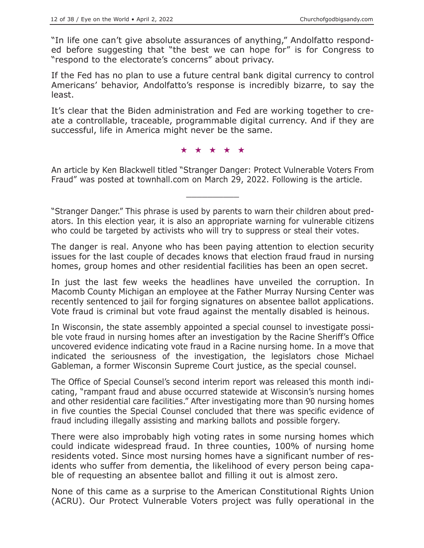"In life one can't give absolute assurances of anything," Andolfatto responded before suggesting that "the best we can hope for" is for Congress to "respond to the electorate's concerns" about privacy.

If the Fed has no plan to use a future central bank digital currency to control Americans' behavior, Andolfatto's response is incredibly bizarre, to say the least.

It's clear that the Biden administration and Fed are working together to create a controllable, traceable, programmable digital currency. And if they are successful, life in America might never be the same.

★★★★★

An article by Ken Blackwell titled "Stranger Danger: Protect Vulnerable Voters From Fraud" was posted at townhall.com on March 29, 2022. Following is the article.

 $\overline{\phantom{a}}$  , where  $\overline{\phantom{a}}$ 

"Stranger Danger." This phrase is used by parents to warn their children about predators. In this election year, it is also an appropriate warning for vulnerable citizens who could be targeted by activists who will try to suppress or steal their votes.

The danger is real. Anyone who has been paying attention to election security issues for the last couple of decades knows that election fraud fraud in nursing homes, group homes and other residential facilities has been an open secret.

In just the last few weeks the headlines have unveiled the corruption. In Macomb County Michigan an employee at the Father Murray Nursing Center was recently sentenced to jail for forging signatures on absentee ballot applications. Vote fraud is criminal but vote fraud against the mentally disabled is heinous.

In Wisconsin, the state assembly appointed a special counsel to investigate possible vote fraud in nursing homes after an investigation by the Racine Sheriff's Office uncovered evidence indicating vote fraud in a Racine nursing home. In a move that indicated the seriousness of the investigation, the legislators chose Michael Gableman, a former Wisconsin Supreme Court justice, as the special counsel.

The Office of Special Counsel's second interim report was released this month indicating, "rampant fraud and abuse occurred statewide at Wisconsin's nursing homes and other residential care facilities." After investigating more than 90 nursing homes in five counties the Special Counsel concluded that there was specific evidence of fraud including illegally assisting and marking ballots and possible forgery.

There were also improbably high voting rates in some nursing homes which could indicate widespread fraud. In three counties, 100% of nursing home residents voted. Since most nursing homes have a significant number of residents who suffer from dementia, the likelihood of every person being capable of requesting an absentee ballot and filling it out is almost zero.

None of this came as a surprise to the American Constitutional Rights Union (ACRU). Our Protect Vulnerable Voters project was fully operational in the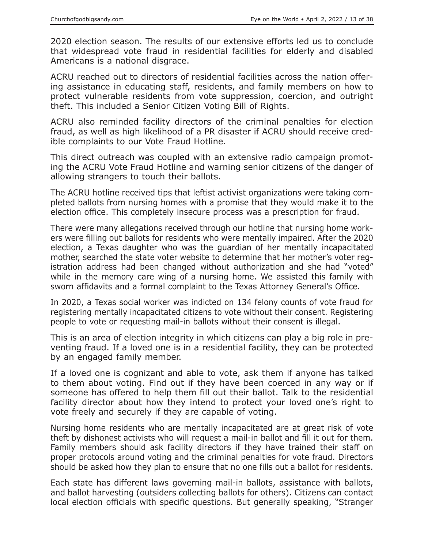2020 election season. The results of our extensive efforts led us to conclude that widespread vote fraud in residential facilities for elderly and disabled Americans is a national disgrace.

ACRU reached out to directors of residential facilities across the nation offering assistance in educating staff, residents, and family members on how to protect vulnerable residents from vote suppression, coercion, and outright theft. This included a Senior Citizen Voting Bill of Rights.

ACRU also reminded facility directors of the criminal penalties for election fraud, as well as high likelihood of a PR disaster if ACRU should receive credible complaints to our Vote Fraud Hotline.

This direct outreach was coupled with an extensive radio campaign promoting the ACRU Vote Fraud Hotline and warning senior citizens of the danger of allowing strangers to touch their ballots.

The ACRU hotline received tips that leftist activist organizations were taking completed ballots from nursing homes with a promise that they would make it to the election office. This completely insecure process was a prescription for fraud.

There were many allegations received through our hotline that nursing home workers were filling out ballots for residents who were mentally impaired. After the 2020 election, a Texas daughter who was the guardian of her mentally incapacitated mother, searched the state voter website to determine that her mother's voter registration address had been changed without authorization and she had "voted" while in the memory care wing of a nursing home. We assisted this family with sworn affidavits and a formal complaint to the Texas Attorney General's Office.

In 2020, a Texas social worker was indicted on 134 felony counts of vote fraud for registering mentally incapacitated citizens to vote without their consent. Registering people to vote or requesting mail-in ballots without their consent is illegal.

This is an area of election integrity in which citizens can play a big role in preventing fraud. If a loved one is in a residential facility, they can be protected by an engaged family member.

If a loved one is cognizant and able to vote, ask them if anyone has talked to them about voting. Find out if they have been coerced in any way or if someone has offered to help them fill out their ballot. Talk to the residential facility director about how they intend to protect your loved one's right to vote freely and securely if they are capable of voting.

Nursing home residents who are mentally incapacitated are at great risk of vote theft by dishonest activists who will request a mail-in ballot and fill it out for them. Family members should ask facility directors if they have trained their staff on proper protocols around voting and the criminal penalties for vote fraud. Directors should be asked how they plan to ensure that no one fills out a ballot for residents.

Each state has different laws governing mail-in ballots, assistance with ballots, and ballot harvesting (outsiders collecting ballots for others). Citizens can contact local election officials with specific questions. But generally speaking, "Stranger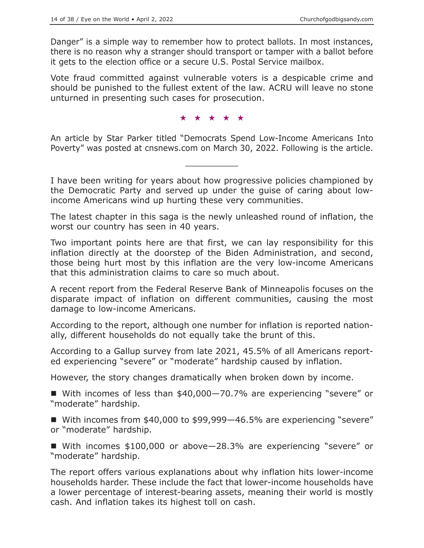Danger" is a simple way to remember how to protect ballots. In most instances, there is no reason why a stranger should transport or tamper with a ballot before it gets to the election office or a secure U.S. Postal Service mailbox.

Vote fraud committed against vulnerable voters is a despicable crime and should be punished to the fullest extent of the law. ACRU will leave no stone unturned in presenting such cases for prosecution.

★★★★★

An article by Star Parker titled "Democrats Spend Low-Income Americans Into Poverty" was posted at cnsnews.com on March 30, 2022. Following is the article.

 $\overline{\phantom{a}}$  , where  $\overline{\phantom{a}}$ 

I have been writing for years about how progressive policies championed by the Democratic Party and served up under the guise of caring about lowincome Americans wind up hurting these very communities.

The latest chapter in this saga is the newly unleashed round of inflation, the worst our country has seen in 40 years.

Two important points here are that first, we can lay responsibility for this inflation directly at the doorstep of the Biden Administration, and second, those being hurt most by this inflation are the very low-income Americans that this administration claims to care so much about.

A recent report from the Federal Reserve Bank of Minneapolis focuses on the disparate impact of inflation on different communities, causing the most damage to low-income Americans.

According to the report, although one number for inflation is reported nationally, different households do not equally take the brunt of this.

According to a Gallup survey from late 2021, 45.5% of all Americans reported experiencing "severe" or "moderate" hardship caused by inflation.

However, the story changes dramatically when broken down by income.

■ With incomes of less than \$40,000–70.7% are experiencing "severe" or "moderate" hardship.

■ With incomes from \$40,000 to \$99,999–46.5% are experiencing "severe" or "moderate" hardship.

■ With incomes \$100,000 or above-28.3% are experiencing "severe" or "moderate" hardship.

The report offers various explanations about why inflation hits lower-income households harder. These include the fact that lower-income households have a lower percentage of interest-bearing assets, meaning their world is mostly cash. And inflation takes its highest toll on cash.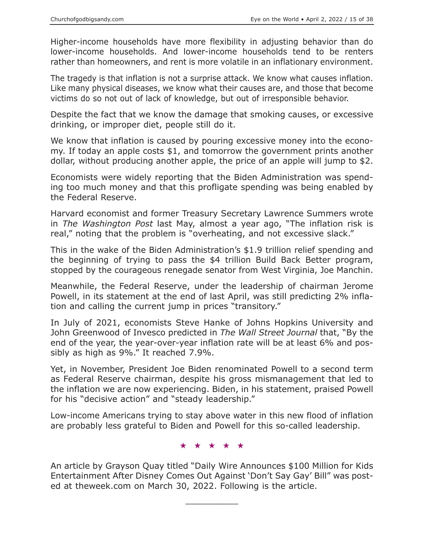Higher-income households have more flexibility in adjusting behavior than do lower-income households. And lower-income households tend to be renters rather than homeowners, and rent is more volatile in an inflationary environment.

The tragedy is that inflation is not a surprise attack. We know what causes inflation. Like many physical diseases, we know what their causes are, and those that become victims do so not out of lack of knowledge, but out of irresponsible behavior.

Despite the fact that we know the damage that smoking causes, or excessive drinking, or improper diet, people still do it.

We know that inflation is caused by pouring excessive money into the economy. If today an apple costs \$1, and tomorrow the government prints another dollar, without producing another apple, the price of an apple will jump to \$2.

Economists were widely reporting that the Biden Administration was spending too much money and that this profligate spending was being enabled by the Federal Reserve.

Harvard economist and former Treasury Secretary Lawrence Summers wrote in *The Washington Post* last May, almost a year ago, "The inflation risk is real," noting that the problem is "overheating, and not excessive slack."

This in the wake of the Biden Administration's \$1.9 trillion relief spending and the beginning of trying to pass the \$4 trillion Build Back Better program, stopped by the courageous renegade senator from West Virginia, Joe Manchin.

Meanwhile, the Federal Reserve, under the leadership of chairman Jerome Powell, in its statement at the end of last April, was still predicting 2% inflation and calling the current jump in prices "transitory."

In July of 2021, economists Steve Hanke of Johns Hopkins University and John Greenwood of Invesco predicted in *The Wall Street Journal* that, "By the end of the year, the year-over-year inflation rate will be at least 6% and possibly as high as 9%." It reached 7.9%.

Yet, in November, President Joe Biden renominated Powell to a second term as Federal Reserve chairman, despite his gross mismanagement that led to the inflation we are now experiencing. Biden, in his statement, praised Powell for his "decisive action" and "steady leadership."

Low-income Americans trying to stay above water in this new flood of inflation are probably less grateful to Biden and Powell for this so-called leadership.

★★★★★

An article by Grayson Quay titled "Daily Wire Announces \$100 Million for Kids Entertainment After Disney Comes Out Against 'Don't Say Gay' Bill" was posted at theweek.com on March 30, 2022. Following is the article.

 $\overline{\phantom{a}}$  , where  $\overline{\phantom{a}}$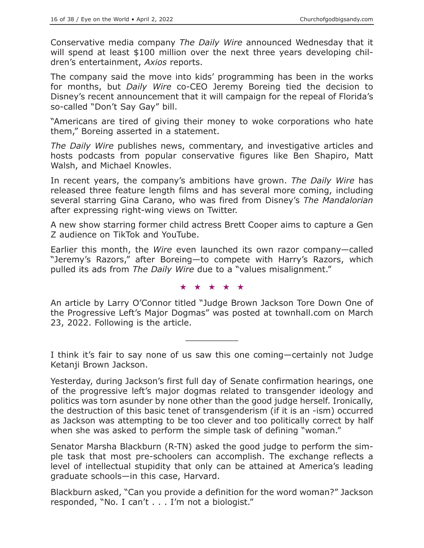Conservative media company *The Daily Wire* announced Wednesday that it will spend at least \$100 million over the next three years developing children's entertainment, *Axios* reports.

The company said the move into kids' programming has been in the works for months, but *Daily Wire* co-CEO Jeremy Boreing tied the decision to Disney's recent announcement that it will campaign for the repeal of Florida's so-called "Don't Say Gay" bill.

"Americans are tired of giving their money to woke corporations who hate them," Boreing asserted in a statement.

*The Daily Wire* publishes news, commentary, and investigative articles and hosts podcasts from popular conservative figures like Ben Shapiro, Matt Walsh, and Michael Knowles.

In recent years, the company's ambitions have grown. *The Daily Wire* has released three feature length films and has several more coming, including several starring Gina Carano, who was fired from Disney's *The Mandalorian* after expressing right-wing views on Twitter.

A new show starring former child actress Brett Cooper aims to capture a Gen Z audience on TikTok and YouTube.

Earlier this month, the *Wire* even launched its own razor company—called "Jeremy's Razors," after Boreing—to compete with Harry's Razors, which pulled its ads from *The Daily Wire* due to a "values misalignment."

#### ★★★★★

An article by Larry O'Connor titled "Judge Brown Jackson Tore Down One of the Progressive Left's Major Dogmas" was posted at townhall.com on March 23, 2022. Following is the article.

I think it's fair to say none of us saw this one coming—certainly not Judge Ketanji Brown Jackson.

 $\overline{\phantom{a}}$  , where  $\overline{\phantom{a}}$ 

Yesterday, during Jackson's first full day of Senate confirmation hearings, one of the progressive left's major dogmas related to transgender ideology and politics was torn asunder by none other than the good judge herself. Ironically, the destruction of this basic tenet of transgenderism (if it is an -ism) occurred as Jackson was attempting to be too clever and too politically correct by half when she was asked to perform the simple task of defining "woman."

Senator Marsha Blackburn (R-TN) asked the good judge to perform the simple task that most pre-schoolers can accomplish. The exchange reflects a level of intellectual stupidity that only can be attained at America's leading graduate schools—in this case, Harvard.

Blackburn asked, "Can you provide a definition for the word woman?" Jackson responded, "No. I can't . . . I'm not a biologist."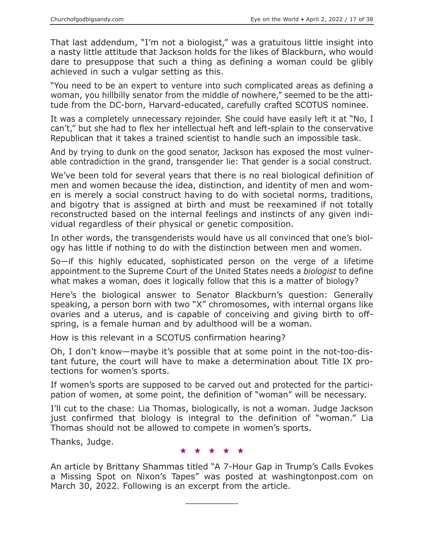That last addendum, "I'm not a biologist," was a gratuitous little insight into a nasty little attitude that Jackson holds for the likes of Blackburn, who would dare to presuppose that such a thing as defining a woman could be glibly achieved in such a vulgar setting as this.

"You need to be an expert to venture into such complicated areas as defining a woman, you hillbilly senator from the middle of nowhere," seemed to be the attitude from the DC-born, Harvard-educated, carefully crafted SCOTUS nominee.

It was a completely unnecessary rejoinder. She could have easily left it at "No, I can't," but she had to flex her intellectual heft and left-splain to the conservative Republican that it takes a trained scientist to handle such an impossible task.

And by trying to dunk on the good senator, Jackson has exposed the most vulnerable contradiction in the grand, transgender lie: That gender is a social construct.

We've been told for several years that there is no real biological definition of men and women because the idea, distinction, and identity of men and women is merely a social construct having to do with societal norms, traditions, and bigotry that is assigned at birth and must be reexamined if not totally reconstructed based on the internal feelings and instincts of any given individual regardless of their physical or genetic composition.

In other words, the transgenderists would have us all convinced that one's biology has little if nothing to do with the distinction between men and women.

So—if this highly educated, sophisticated person on the verge of a lifetime appointment to the Supreme Court of the United States needs a *biologist* to define what makes a woman, does it logically follow that this is a matter of biology?

Here's the biological answer to Senator Blackburn's question: Generally speaking, a person born with two "X" chromosomes, with internal organs like ovaries and a uterus, and is capable of conceiving and giving birth to offspring, is a female human and by adulthood will be a woman.

How is this relevant in a SCOTUS confirmation hearing?

Oh, I don't know—maybe it's possible that at some point in the not-too-distant future, the court will have to make a determination about Title IX protections for women's sports.

If women's sports are supposed to be carved out and protected for the participation of women, at some point, the definition of "woman" will be necessary.

I'll cut to the chase: Lia Thomas, biologically, is not a woman. Judge Jackson just confirmed that biology is integral to the definition of "woman." Lia Thomas should not be allowed to compete in women's sports.

Thanks, Judge.

#### ★★★★★

An article by Brittany Shammas titled "A 7-Hour Gap in Trump's Calls Evokes a Missing Spot on Nixon's Tapes" was posted at washingtonpost.com on March 30, 2022. Following is an excerpt from the article.

 $\overline{\phantom{a}}$  , where  $\overline{\phantom{a}}$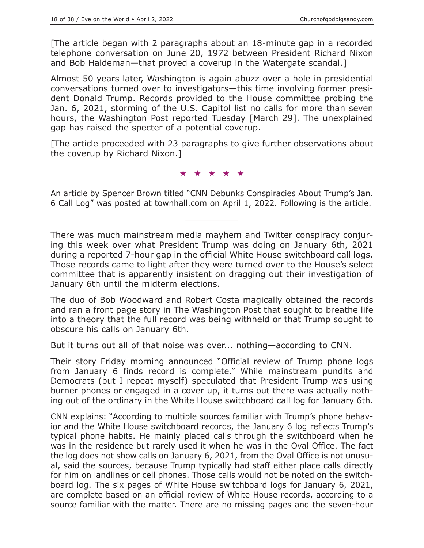[The article began with 2 paragraphs about an 18-minute gap in a recorded telephone conversation on June 20, 1972 between President Richard Nixon and Bob Haldeman—that proved a coverup in the Watergate scandal.]

Almost 50 years later, Washington is again abuzz over a hole in presidential conversations turned over to investigators—this time involving former president Donald Trump. Records provided to the House committee probing the Jan. 6, 2021, storming of the U.S. Capitol list no calls for more than seven hours, the Washington Post reported Tuesday [March 29]. The unexplained gap has raised the specter of a potential coverup.

[The article proceeded with 23 paragraphs to give further observations about the coverup by Richard Nixon.]

★★★★★

An article by Spencer Brown titled "CNN Debunks Conspiracies About Trump's Jan. 6 Call Log" was posted at townhall.com on April 1, 2022. Following is the article.

 $\overline{\phantom{a}}$  , where  $\overline{\phantom{a}}$ 

There was much mainstream media mayhem and Twitter conspiracy conjuring this week over what President Trump was doing on January 6th, 2021 during a reported 7-hour gap in the official White House switchboard call logs. Those records came to light after they were turned over to the House's select committee that is apparently insistent on dragging out their investigation of January 6th until the midterm elections.

The duo of Bob Woodward and Robert Costa magically obtained the records and ran a front page story in The Washington Post that sought to breathe life into a theory that the full record was being withheld or that Trump sought to obscure his calls on January 6th.

But it turns out all of that noise was over... nothing—according to CNN.

Their story Friday morning announced "Official review of Trump phone logs from January 6 finds record is complete." While mainstream pundits and Democrats (but I repeat myself) speculated that President Trump was using burner phones or engaged in a cover up, it turns out there was actually nothing out of the ordinary in the White House switchboard call log for January 6th.

CNN explains: "According to multiple sources familiar with Trump's phone behavior and the White House switchboard records, the January 6 log reflects Trump's typical phone habits. He mainly placed calls through the switchboard when he was in the residence but rarely used it when he was in the Oval Office. The fact the log does not show calls on January 6, 2021, from the Oval Office is not unusual, said the sources, because Trump typically had staff either place calls directly for him on landlines or cell phones. Those calls would not be noted on the switchboard log. The six pages of White House switchboard logs for January 6, 2021, are complete based on an official review of White House records, according to a source familiar with the matter. There are no missing pages and the seven-hour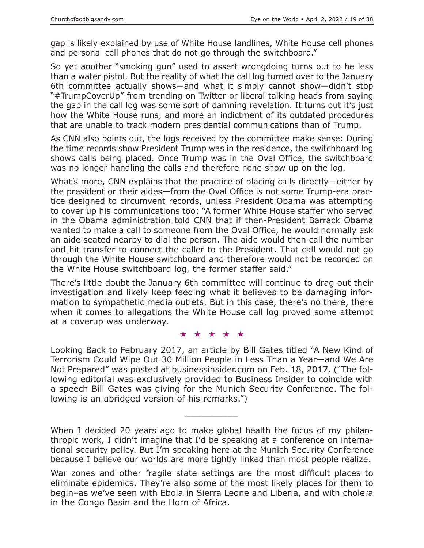gap is likely explained by use of White House landlines, White House cell phones and personal cell phones that do not go through the switchboard."

So yet another "smoking gun" used to assert wrongdoing turns out to be less than a water pistol. But the reality of what the call log turned over to the January 6th committee actually shows—and what it simply cannot show—didn't stop "#TrumpCoverUp" from trending on Twitter or liberal talking heads from saying the gap in the call log was some sort of damning revelation. It turns out it's just how the White House runs, and more an indictment of its outdated procedures that are unable to track modern presidential communications than of Trump.

As CNN also points out, the logs received by the committee make sense: During the time records show President Trump was in the residence, the switchboard log shows calls being placed. Once Trump was in the Oval Office, the switchboard was no longer handling the calls and therefore none show up on the log.

What's more, CNN explains that the practice of placing calls directly—either by the president or their aides—from the Oval Office is not some Trump-era practice designed to circumvent records, unless President Obama was attempting to cover up his communications too: "A former White House staffer who served in the Obama administration told CNN that if then-President Barrack Obama wanted to make a call to someone from the Oval Office, he would normally ask an aide seated nearby to dial the person. The aide would then call the number and hit transfer to connect the caller to the President. That call would not go through the White House switchboard and therefore would not be recorded on the White House switchboard log, the former staffer said."

There's little doubt the January 6th committee will continue to drag out their investigation and likely keep feeding what it believes to be damaging information to sympathetic media outlets. But in this case, there's no there, there when it comes to allegations the White House call log proved some attempt at a coverup was underway.

#### ★★★★★

Looking Back to February 2017, an article by Bill Gates titled "A New Kind of Terrorism Could Wipe Out 30 Million People in Less Than a Year—and We Are Not Prepared" was posted at businessinsider.com on Feb. 18, 2017. ("The following editorial was exclusively provided to Business Insider to coincide with a speech Bill Gates was giving for the Munich Security Conference. The following is an abridged version of his remarks.")

When I decided 20 years ago to make global health the focus of my philanthropic work, I didn't imagine that I'd be speaking at a conference on international security policy. But I'm speaking here at the Munich Security Conference because I believe our worlds are more tightly linked than most people realize.

 $\overline{\phantom{a}}$  , where  $\overline{\phantom{a}}$ 

War zones and other fragile state settings are the most difficult places to eliminate epidemics. They're also some of the most likely places for them to begin–as we've seen with Ebola in Sierra Leone and Liberia, and with cholera in the Congo Basin and the Horn of Africa.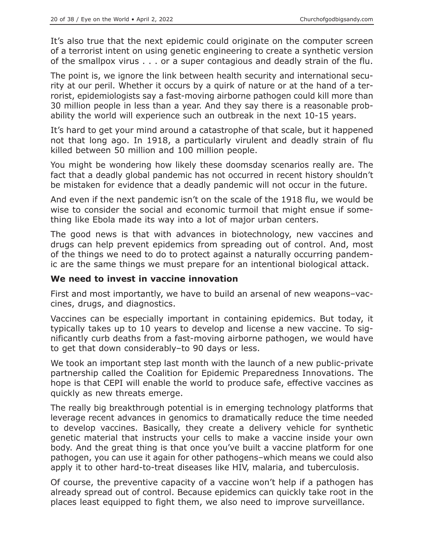It's also true that the next epidemic could originate on the computer screen of a terrorist intent on using genetic engineering to create a synthetic version of the smallpox virus . . . or a super contagious and deadly strain of the flu.

The point is, we ignore the link between health security and international security at our peril. Whether it occurs by a quirk of nature or at the hand of a terrorist, epidemiologists say a fast-moving airborne pathogen could kill more than 30 million people in less than a year. And they say there is a reasonable probability the world will experience such an outbreak in the next 10-15 years.

It's hard to get your mind around a catastrophe of that scale, but it happened not that long ago. In 1918, a particularly virulent and deadly strain of flu killed between 50 million and 100 million people.

You might be wondering how likely these doomsday scenarios really are. The fact that a deadly global pandemic has not occurred in recent history shouldn't be mistaken for evidence that a deadly pandemic will not occur in the future.

And even if the next pandemic isn't on the scale of the 1918 flu, we would be wise to consider the social and economic turmoil that might ensue if something like Ebola made its way into a lot of major urban centers.

The good news is that with advances in biotechnology, new vaccines and drugs can help prevent epidemics from spreading out of control. And, most of the things we need to do to protect against a naturally occurring pandemic are the same things we must prepare for an intentional biological attack.

## **We need to invest in vaccine innovation**

First and most importantly, we have to build an arsenal of new weapons–vaccines, drugs, and diagnostics.

Vaccines can be especially important in containing epidemics. But today, it typically takes up to 10 years to develop and license a new vaccine. To significantly curb deaths from a fast-moving airborne pathogen, we would have to get that down considerably–to 90 days or less.

We took an important step last month with the launch of a new public-private partnership called the Coalition for Epidemic Preparedness Innovations. The hope is that CEPI will enable the world to produce safe, effective vaccines as quickly as new threats emerge.

The really big breakthrough potential is in emerging technology platforms that leverage recent advances in genomics to dramatically reduce the time needed to develop vaccines. Basically, they create a delivery vehicle for synthetic genetic material that instructs your cells to make a vaccine inside your own body. And the great thing is that once you've built a vaccine platform for one pathogen, you can use it again for other pathogens–which means we could also apply it to other hard-to-treat diseases like HIV, malaria, and tuberculosis.

Of course, the preventive capacity of a vaccine won't help if a pathogen has already spread out of control. Because epidemics can quickly take root in the places least equipped to fight them, we also need to improve surveillance.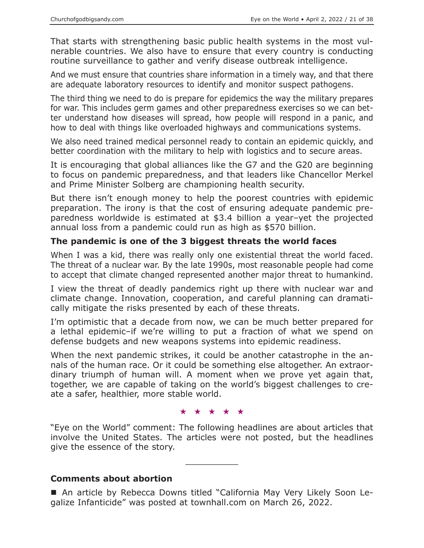That starts with strengthening basic public health systems in the most vulnerable countries. We also have to ensure that every country is conducting routine surveillance to gather and verify disease outbreak intelligence.

And we must ensure that countries share information in a timely way, and that there are adequate laboratory resources to identify and monitor suspect pathogens.

The third thing we need to do is prepare for epidemics the way the military prepares for war. This includes germ games and other preparedness exercises so we can better understand how diseases will spread, how people will respond in a panic, and how to deal with things like overloaded highways and communications systems.

We also need trained medical personnel ready to contain an epidemic quickly, and better coordination with the military to help with logistics and to secure areas.

It is encouraging that global alliances like the G7 and the G20 are beginning to focus on pandemic preparedness, and that leaders like Chancellor Merkel and Prime Minister Solberg are championing health security.

But there isn't enough money to help the poorest countries with epidemic preparation. The irony is that the cost of ensuring adequate pandemic preparedness worldwide is estimated at \$3.4 billion a year–yet the projected annual loss from a pandemic could run as high as \$570 billion.

# **The pandemic is one of the 3 biggest threats the world faces**

When I was a kid, there was really only one existential threat the world faced. The threat of a nuclear war. By the late 1990s, most reasonable people had come to accept that climate changed represented another major threat to humankind.

I view the threat of deadly pandemics right up there with nuclear war and climate change. Innovation, cooperation, and careful planning can dramatically mitigate the risks presented by each of these threats.

I'm optimistic that a decade from now, we can be much better prepared for a lethal epidemic–if we're willing to put a fraction of what we spend on defense budgets and new weapons systems into epidemic readiness.

When the next pandemic strikes, it could be another catastrophe in the annals of the human race. Or it could be something else altogether. An extraordinary triumph of human will. A moment when we prove yet again that, together, we are capable of taking on the world's biggest challenges to create a safer, healthier, more stable world.

★★★★★

"Eye on the World" comment: The following headlines are about articles that involve the United States. The articles were not posted, but the headlines give the essence of the story.

 $\overline{\phantom{a}}$  , where  $\overline{\phantom{a}}$ 

## **Comments about abortion**

 An article by Rebecca Downs titled "California May Very Likely Soon Legalize Infanticide" was posted at townhall.com on March 26, 2022.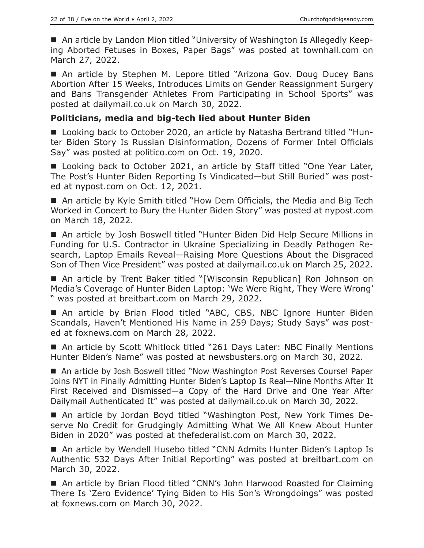■ An article by Landon Mion titled "University of Washington Is Allegedly Keeping Aborted Fetuses in Boxes, Paper Bags" was posted at townhall.com on March 27, 2022.

■ An article by Stephen M. Lepore titled "Arizona Gov. Doug Ducey Bans Abortion After 15 Weeks, Introduces Limits on Gender Reassignment Surgery and Bans Transgender Athletes From Participating in School Sports" was posted at dailymail.co.uk on March 30, 2022.

## **Politicians, media and big-tech lied about Hunter Biden**

■ Looking back to October 2020, an article by Natasha Bertrand titled "Hunter Biden Story Is Russian Disinformation, Dozens of Former Intel Officials Say" was posted at politico.com on Oct. 19, 2020.

■ Looking back to October 2021, an article by Staff titled "One Year Later, The Post's Hunter Biden Reporting Is Vindicated—but Still Buried" was posted at nypost.com on Oct. 12, 2021.

■ An article by Kyle Smith titled "How Dem Officials, the Media and Big Tech Worked in Concert to Bury the Hunter Biden Story" was posted at nypost.com on March 18, 2022.

 An article by Josh Boswell titled "Hunter Biden Did Help Secure Millions in Funding for U.S. Contractor in Ukraine Specializing in Deadly Pathogen Research, Laptop Emails Reveal—Raising More Questions About the Disgraced Son of Then Vice President" was posted at dailymail.co.uk on March 25, 2022.

■ An article by Trent Baker titled "[Wisconsin Republican] Ron Johnson on Media's Coverage of Hunter Biden Laptop: 'We Were Right, They Were Wrong' " was posted at breitbart.com on March 29, 2022.

■ An article by Brian Flood titled "ABC, CBS, NBC Ignore Hunter Biden Scandals, Haven't Mentioned His Name in 259 Days; Study Says" was posted at foxnews.com on March 28, 2022.

■ An article by Scott Whitlock titled "261 Days Later: NBC Finally Mentions Hunter Biden's Name" was posted at newsbusters.org on March 30, 2022.

■ An article by Josh Boswell titled "Now Washington Post Reverses Course! Paper Joins NYT in Finally Admitting Hunter Biden's Laptop Is Real—Nine Months After It First Received and Dismissed—a Copy of the Hard Drive and One Year After Dailymail Authenticated It" was posted at dailymail.co.uk on March 30, 2022.

 An article by Jordan Boyd titled "Washington Post, New York Times Deserve No Credit for Grudgingly Admitting What We All Knew About Hunter Biden in 2020" was posted at thefederalist.com on March 30, 2022.

■ An article by Wendell Husebo titled "CNN Admits Hunter Biden's Laptop Is Authentic 532 Days After Initial Reporting" was posted at breitbart.com on March 30, 2022.

■ An article by Brian Flood titled "CNN's John Harwood Roasted for Claiming There Is 'Zero Evidence' Tying Biden to His Son's Wrongdoings" was posted at foxnews.com on March 30, 2022.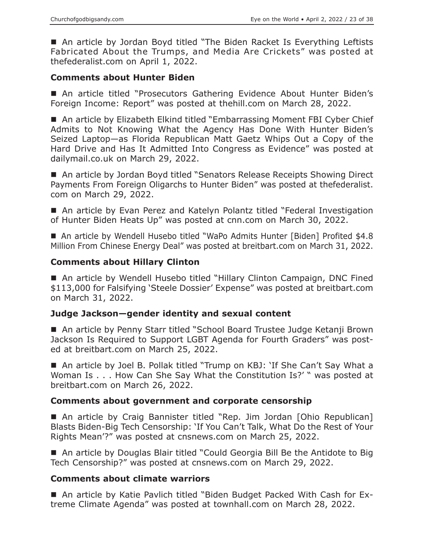■ An article by Jordan Boyd titled "The Biden Racket Is Everything Leftists Fabricated About the Trumps, and Media Are Crickets" was posted at thefederalist.com on April 1, 2022.

## **Comments about Hunter Biden**

 An article titled "Prosecutors Gathering Evidence About Hunter Biden's Foreign Income: Report" was posted at thehill.com on March 28, 2022.

■ An article by Elizabeth Elkind titled "Embarrassing Moment FBI Cyber Chief Admits to Not Knowing What the Agency Has Done With Hunter Biden's Seized Laptop—as Florida Republican Matt Gaetz Whips Out a Copy of the Hard Drive and Has It Admitted Into Congress as Evidence" was posted at dailymail.co.uk on March 29, 2022.

■ An article by Jordan Boyd titled "Senators Release Receipts Showing Direct Payments From Foreign Oligarchs to Hunter Biden" was posted at thefederalist. com on March 29, 2022.

 An article by Evan Perez and Katelyn Polantz titled "Federal Investigation of Hunter Biden Heats Up" was posted at cnn.com on March 30, 2022.

■ An article by Wendell Husebo titled "WaPo Admits Hunter [Biden] Profited \$4.8 Million From Chinese Energy Deal" was posted at breitbart.com on March 31, 2022.

# **Comments about Hillary Clinton**

■ An article by Wendell Husebo titled "Hillary Clinton Campaign, DNC Fined \$113,000 for Falsifying 'Steele Dossier' Expense" was posted at breitbart.com on March 31, 2022.

## **Judge Jackson—gender identity and sexual content**

■ An article by Penny Starr titled "School Board Trustee Judge Ketanji Brown Jackson Is Required to Support LGBT Agenda for Fourth Graders" was posted at breitbart.com on March 25, 2022.

■ An article by Joel B. Pollak titled "Trump on KBJ: 'If She Can't Say What a Woman Is . . . How Can She Say What the Constitution Is?' " was posted at breitbart.com on March 26, 2022.

## **Comments about government and corporate censorship**

■ An article by Craig Bannister titled "Rep. Jim Jordan [Ohio Republican] Blasts Biden-Big Tech Censorship: 'If You Can't Talk, What Do the Rest of Your Rights Mean'?" was posted at cnsnews.com on March 25, 2022.

■ An article by Douglas Blair titled "Could Georgia Bill Be the Antidote to Big Tech Censorship?" was posted at cnsnews.com on March 29, 2022.

## **Comments about climate warriors**

 An article by Katie Pavlich titled "Biden Budget Packed With Cash for Extreme Climate Agenda" was posted at townhall.com on March 28, 2022.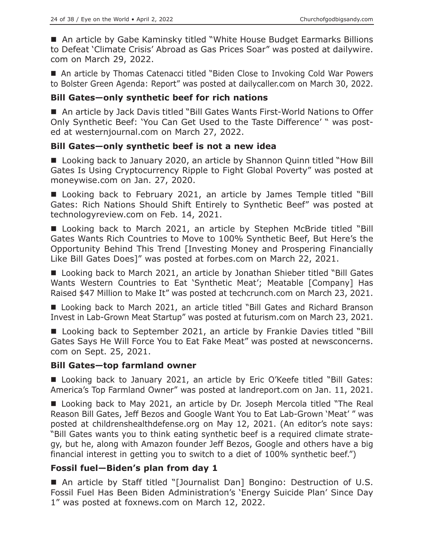■ An article by Gabe Kaminsky titled "White House Budget Earmarks Billions to Defeat 'Climate Crisis' Abroad as Gas Prices Soar" was posted at dailywire. com on March 29, 2022.

■ An article by Thomas Catenacci titled "Biden Close to Invoking Cold War Powers to Bolster Green Agenda: Report" was posted at dailycaller.com on March 30, 2022.

# **Bill Gates—only synthetic beef for rich nations**

■ An article by Jack Davis titled "Bill Gates Wants First-World Nations to Offer Only Synthetic Beef: 'You Can Get Used to the Taste Difference' " was posted at westernjournal.com on March 27, 2022.

# **Bill Gates—only synthetic beef is not a new idea**

■ Looking back to January 2020, an article by Shannon Quinn titled "How Bill Gates Is Using Cryptocurrency Ripple to Fight Global Poverty" was posted at moneywise.com on Jan. 27, 2020.

■ Looking back to February 2021, an article by James Temple titled "Bill Gates: Rich Nations Should Shift Entirely to Synthetic Beef" was posted at technologyreview.com on Feb. 14, 2021.

■ Looking back to March 2021, an article by Stephen McBride titled "Bill Gates Wants Rich Countries to Move to 100% Synthetic Beef, But Here's the Opportunity Behind This Trend [Investing Money and Prospering Financially Like Bill Gates Does]" was posted at forbes.com on March 22, 2021.

■ Looking back to March 2021, an article by Jonathan Shieber titled "Bill Gates Wants Western Countries to Eat 'Synthetic Meat'; Meatable [Company] Has Raised \$47 Million to Make It" was posted at techcrunch.com on March 23, 2021.

■ Looking back to March 2021, an article titled "Bill Gates and Richard Branson Invest in Lab-Grown Meat Startup" was posted at futurism.com on March 23, 2021.

■ Looking back to September 2021, an article by Frankie Davies titled "Bill Gates Says He Will Force You to Eat Fake Meat" was posted at newsconcerns. com on Sept. 25, 2021.

## **Bill Gates—top farmland owner**

■ Looking back to January 2021, an article by Eric O'Keefe titled "Bill Gates: America's Top Farmland Owner" was posted at landreport.com on Jan. 11, 2021.

■ Looking back to May 2021, an article by Dr. Joseph Mercola titled "The Real Reason Bill Gates, Jeff Bezos and Google Want You to Eat Lab-Grown 'Meat' " was posted at childrenshealthdefense.org on May 12, 2021. (An editor's note says: "Bill Gates wants you to think eating synthetic beef is a required climate strategy, but he, along with Amazon founder Jeff Bezos, Google and others have a big financial interest in getting you to switch to a diet of 100% synthetic beef.")

# **Fossil fuel—Biden's plan from day 1**

■ An article by Staff titled "[Journalist Dan] Bongino: Destruction of U.S. Fossil Fuel Has Been Biden Administration's 'Energy Suicide Plan' Since Day 1" was posted at foxnews.com on March 12, 2022.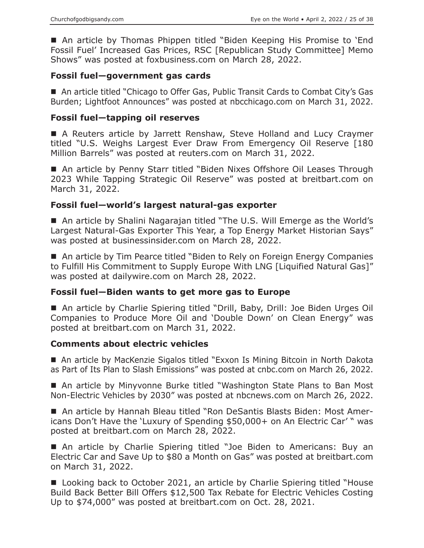An article by Thomas Phippen titled "Biden Keeping His Promise to 'End Fossil Fuel' Increased Gas Prices, RSC [Republican Study Committee] Memo Shows" was posted at foxbusiness.com on March 28, 2022.

## **Fossil fuel—government gas cards**

■ An article titled "Chicago to Offer Gas, Public Transit Cards to Combat City's Gas Burden; Lightfoot Announces" was posted at nbcchicago.com on March 31, 2022.

## **Fossil fuel—tapping oil reserves**

■ A Reuters article by Jarrett Renshaw, Steve Holland and Lucy Craymer titled "U.S. Weighs Largest Ever Draw From Emergency Oil Reserve [180 Million Barrels" was posted at reuters.com on March 31, 2022.

■ An article by Penny Starr titled "Biden Nixes Offshore Oil Leases Through 2023 While Tapping Strategic Oil Reserve" was posted at breitbart.com on March 31, 2022.

# **Fossil fuel—world's largest natural-gas exporter**

 An article by Shalini Nagarajan titled "The U.S. Will Emerge as the World's Largest Natural-Gas Exporter This Year, a Top Energy Market Historian Says" was posted at businessinsider.com on March 28, 2022.

■ An article by Tim Pearce titled "Biden to Rely on Foreign Energy Companies to Fulfill His Commitment to Supply Europe With LNG [Liquified Natural Gas]" was posted at dailywire.com on March 28, 2022.

## **Fossil fuel—Biden wants to get more gas to Europe**

■ An article by Charlie Spiering titled "Drill, Baby, Drill: Joe Biden Urges Oil Companies to Produce More Oil and 'Double Down' on Clean Energy" was posted at breitbart.com on March 31, 2022.

## **Comments about electric vehicles**

 An article by MacKenzie Sigalos titled "Exxon Is Mining Bitcoin in North Dakota as Part of Its Plan to Slash Emissions" was posted at cnbc.com on March 26, 2022.

■ An article by Minyvonne Burke titled "Washington State Plans to Ban Most Non-Electric Vehicles by 2030" was posted at nbcnews.com on March 26, 2022.

■ An article by Hannah Bleau titled "Ron DeSantis Blasts Biden: Most Americans Don't Have the 'Luxury of Spending \$50,000+ on An Electric Car' " was posted at breitbart.com on March 28, 2022.

 An article by Charlie Spiering titled "Joe Biden to Americans: Buy an Electric Car and Save Up to \$80 a Month on Gas" was posted at breitbart.com on March 31, 2022.

■ Looking back to October 2021, an article by Charlie Spiering titled "House Build Back Better Bill Offers \$12,500 Tax Rebate for Electric Vehicles Costing Up to \$74,000" was posted at breitbart.com on Oct. 28, 2021.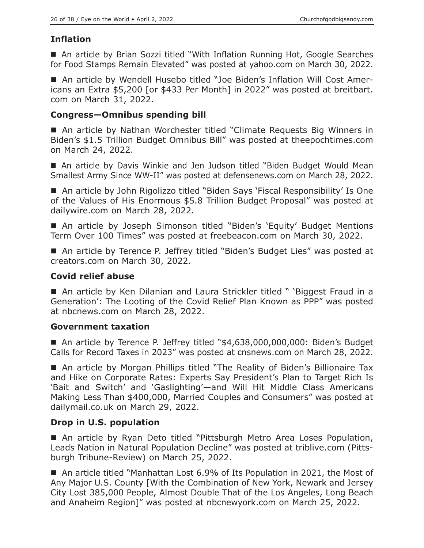# **Inflation**

■ An article by Brian Sozzi titled "With Inflation Running Hot, Google Searches for Food Stamps Remain Elevated" was posted at yahoo.com on March 30, 2022.

 An article by Wendell Husebo titled "Joe Biden's Inflation Will Cost Americans an Extra \$5,200 [or \$433 Per Month] in 2022" was posted at breitbart. com on March 31, 2022.

## **Congress—Omnibus spending bill**

■ An article by Nathan Worchester titled "Climate Requests Big Winners in Biden's \$1.5 Trillion Budget Omnibus Bill" was posted at theepochtimes.com on March 24, 2022.

 An article by Davis Winkie and Jen Judson titled "Biden Budget Would Mean Smallest Army Since WW-II" was posted at defensenews.com on March 28, 2022.

■ An article by John Rigolizzo titled "Biden Says 'Fiscal Responsibility' Is One of the Values of His Enormous \$5.8 Trillion Budget Proposal" was posted at dailywire.com on March 28, 2022.

■ An article by Joseph Simonson titled "Biden's 'Equity' Budget Mentions Term Over 100 Times" was posted at freebeacon.com on March 30, 2022.

■ An article by Terence P. Jeffrey titled "Biden's Budget Lies" was posted at creators.com on March 30, 2022.

## **Covid relief abuse**

■ An article by Ken Dilanian and Laura Strickler titled " 'Biggest Fraud in a Generation': The Looting of the Covid Relief Plan Known as PPP" was posted at nbcnews.com on March 28, 2022.

## **Government taxation**

■ An article by Terence P. Jeffrey titled "\$4,638,000,000,000: Biden's Budget Calls for Record Taxes in 2023" was posted at cnsnews.com on March 28, 2022.

■ An article by Morgan Phillips titled "The Reality of Biden's Billionaire Tax and Hike on Corporate Rates: Experts Say President's Plan to Target Rich Is 'Bait and Switch' and 'Gaslighting'—and Will Hit Middle Class Americans Making Less Than \$400,000, Married Couples and Consumers" was posted at dailymail.co.uk on March 29, 2022.

# **Drop in U.S. population**

■ An article by Ryan Deto titled "Pittsburgh Metro Area Loses Population, Leads Nation in Natural Population Decline" was posted at triblive.com (Pittsburgh Tribune-Review) on March 25, 2022.

■ An article titled "Manhattan Lost 6.9% of Its Population in 2021, the Most of Any Major U.S. County [With the Combination of New York, Newark and Jersey City Lost 385,000 People, Almost Double That of the Los Angeles, Long Beach and Anaheim Region]" was posted at nbcnewyork.com on March 25, 2022.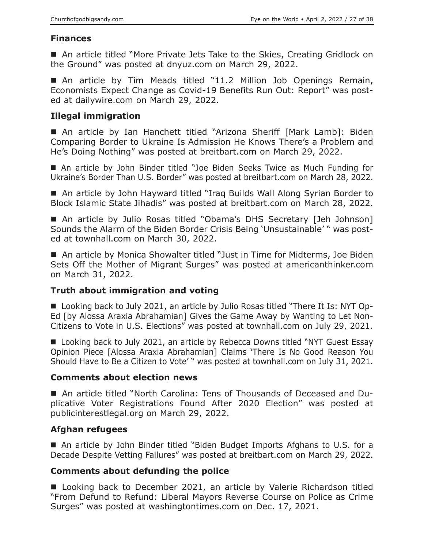# **Finances**

■ An article titled "More Private Jets Take to the Skies, Creating Gridlock on the Ground" was posted at dnyuz.com on March 29, 2022.

 An article by Tim Meads titled "11.2 Million Job Openings Remain, Economists Expect Change as Covid-19 Benefits Run Out: Report" was posted at dailywire.com on March 29, 2022.

# **Illegal immigration**

■ An article by Ian Hanchett titled "Arizona Sheriff [Mark Lamb]: Biden Comparing Border to Ukraine Is Admission He Knows There's a Problem and He's Doing Nothing" was posted at breitbart.com on March 29, 2022.

■ An article by John Binder titled "Joe Biden Seeks Twice as Much Funding for Ukraine's Border Than U.S. Border" was posted at breitbart.com on March 28, 2022.

■ An article by John Hayward titled "Iraq Builds Wall Along Syrian Border to Block Islamic State Jihadis" was posted at breitbart.com on March 28, 2022.

 An article by Julio Rosas titled "Obama's DHS Secretary [Jeh Johnson] Sounds the Alarm of the Biden Border Crisis Being 'Unsustainable' " was posted at townhall.com on March 30, 2022.

■ An article by Monica Showalter titled "Just in Time for Midterms, Joe Biden Sets Off the Mother of Migrant Surges" was posted at americanthinker.com on March 31, 2022.

# **Truth about immigration and voting**

■ Looking back to July 2021, an article by Julio Rosas titled "There It Is: NYT Op-Ed [by Alossa Araxia Abrahamian] Gives the Game Away by Wanting to Let Non-Citizens to Vote in U.S. Elections" was posted at townhall.com on July 29, 2021.

■ Looking back to July 2021, an article by Rebecca Downs titled "NYT Guest Essay Opinion Piece [Alossa Araxia Abrahamian] Claims 'There Is No Good Reason You Should Have to Be a Citizen to Vote' " was posted at townhall.com on July 31, 2021.

## **Comments about election news**

 An article titled "North Carolina: Tens of Thousands of Deceased and Duplicative Voter Registrations Found After 2020 Election" was posted at publicinterestlegal.org on March 29, 2022.

# **Afghan refugees**

 An article by John Binder titled "Biden Budget Imports Afghans to U.S. for a Decade Despite Vetting Failures" was posted at breitbart.com on March 29, 2022.

# **Comments about defunding the police**

■ Looking back to December 2021, an article by Valerie Richardson titled "From Defund to Refund: Liberal Mayors Reverse Course on Police as Crime Surges" was posted at washingtontimes.com on Dec. 17, 2021.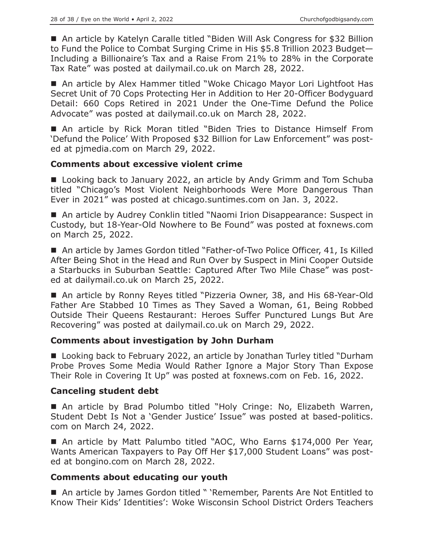■ An article by Katelyn Caralle titled "Biden Will Ask Congress for \$32 Billion to Fund the Police to Combat Surging Crime in His \$5.8 Trillion 2023 Budget— Including a Billionaire's Tax and a Raise From 21% to 28% in the Corporate Tax Rate" was posted at dailymail.co.uk on March 28, 2022.

■ An article by Alex Hammer titled "Woke Chicago Mayor Lori Lightfoot Has Secret Unit of 70 Cops Protecting Her in Addition to Her 20-Officer Bodyguard Detail: 660 Cops Retired in 2021 Under the One-Time Defund the Police Advocate" was posted at dailymail.co.uk on March 28, 2022.

■ An article by Rick Moran titled "Biden Tries to Distance Himself From 'Defund the Police' With Proposed \$32 Billion for Law Enforcement" was posted at pjmedia.com on March 29, 2022.

# **Comments about excessive violent crime**

■ Looking back to January 2022, an article by Andy Grimm and Tom Schuba titled "Chicago's Most Violent Neighborhoods Were More Dangerous Than Ever in 2021" was posted at chicago.suntimes.com on Jan. 3, 2022.

■ An article by Audrey Conklin titled "Naomi Irion Disappearance: Suspect in Custody, but 18-Year-Old Nowhere to Be Found" was posted at foxnews.com on March 25, 2022.

■ An article by James Gordon titled "Father-of-Two Police Officer, 41, Is Killed After Being Shot in the Head and Run Over by Suspect in Mini Cooper Outside a Starbucks in Suburban Seattle: Captured After Two Mile Chase" was posted at dailymail.co.uk on March 25, 2022.

■ An article by Ronny Reyes titled "Pizzeria Owner, 38, and His 68-Year-Old Father Are Stabbed 10 Times as They Saved a Woman, 61, Being Robbed Outside Their Queens Restaurant: Heroes Suffer Punctured Lungs But Are Recovering" was posted at dailymail.co.uk on March 29, 2022.

## **Comments about investigation by John Durham**

■ Looking back to February 2022, an article by Jonathan Turley titled "Durham Probe Proves Some Media Would Rather Ignore a Major Story Than Expose Their Role in Covering It Up" was posted at foxnews.com on Feb. 16, 2022.

## **Canceling student debt**

■ An article by Brad Polumbo titled "Holy Cringe: No, Elizabeth Warren, Student Debt Is Not a 'Gender Justice' Issue" was posted at based-politics. com on March 24, 2022.

■ An article by Matt Palumbo titled "AOC, Who Earns \$174,000 Per Year, Wants American Taxpayers to Pay Off Her \$17,000 Student Loans" was posted at bongino.com on March 28, 2022.

## **Comments about educating our youth**

■ An article by James Gordon titled " 'Remember, Parents Are Not Entitled to Know Their Kids' Identities': Woke Wisconsin School District Orders Teachers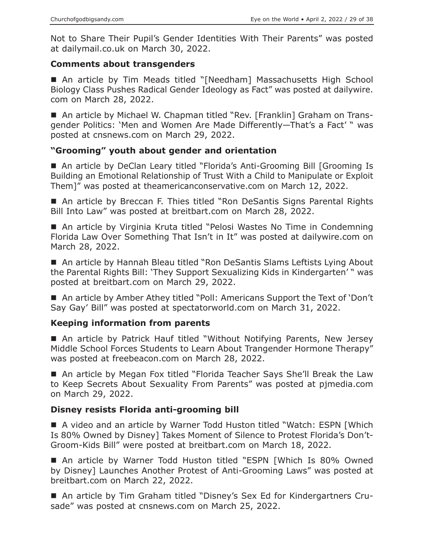Not to Share Their Pupil's Gender Identities With Their Parents" was posted at dailymail.co.uk on March 30, 2022.

## **Comments about transgenders**

■ An article by Tim Meads titled "[Needham] Massachusetts High School Biology Class Pushes Radical Gender Ideology as Fact" was posted at dailywire. com on March 28, 2022.

■ An article by Michael W. Chapman titled "Rev. [Franklin] Graham on Transgender Politics: 'Men and Women Are Made Differently—That's a Fact' " was posted at cnsnews.com on March 29, 2022.

# **"Grooming" youth about gender and orientation**

■ An article by DeClan Leary titled "Florida's Anti-Grooming Bill [Grooming Is Building an Emotional Relationship of Trust With a Child to Manipulate or Exploit Them]" was posted at theamericanconservative.com on March 12, 2022.

■ An article by Breccan F. Thies titled "Ron DeSantis Signs Parental Rights Bill Into Law" was posted at breitbart.com on March 28, 2022.

■ An article by Virginia Kruta titled "Pelosi Wastes No Time in Condemning Florida Law Over Something That Isn't in It" was posted at dailywire.com on March 28, 2022.

■ An article by Hannah Bleau titled "Ron DeSantis Slams Leftists Lying About the Parental Rights Bill: 'They Support Sexualizing Kids in Kindergarten' " was posted at breitbart.com on March 29, 2022.

■ An article by Amber Athey titled "Poll: Americans Support the Text of 'Don't Say Gay' Bill" was posted at spectatorworld.com on March 31, 2022.

## **Keeping information from parents**

■ An article by Patrick Hauf titled "Without Notifying Parents, New Jersey Middle School Forces Students to Learn About Trangender Hormone Therapy" was posted at freebeacon.com on March 28, 2022.

■ An article by Megan Fox titled "Florida Teacher Says She'll Break the Law to Keep Secrets About Sexuality From Parents" was posted at pjmedia.com on March 29, 2022.

## **Disney resists Florida anti-grooming bill**

 A video and an article by Warner Todd Huston titled "Watch: ESPN [Which Is 80% Owned by Disney] Takes Moment of Silence to Protest Florida's Don't-Groom-Kids Bill" were posted at breitbart.com on March 18, 2022.

 An article by Warner Todd Huston titled "ESPN [Which Is 80% Owned by Disney] Launches Another Protest of Anti-Grooming Laws" was posted at breitbart.com on March 22, 2022.

■ An article by Tim Graham titled "Disney's Sex Ed for Kindergartners Crusade" was posted at cnsnews.com on March 25, 2022.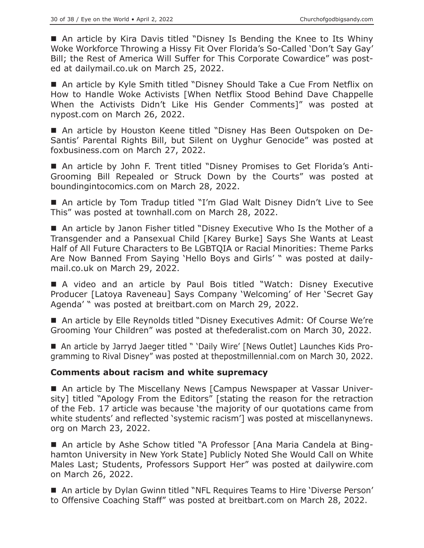■ An article by Kira Davis titled "Disney Is Bending the Knee to Its Whiny Woke Workforce Throwing a Hissy Fit Over Florida's So-Called 'Don't Say Gay' Bill; the Rest of America Will Suffer for This Corporate Cowardice" was posted at dailymail.co.uk on March 25, 2022.

■ An article by Kyle Smith titled "Disney Should Take a Cue From Netflix on How to Handle Woke Activists [When Netflix Stood Behind Dave Chappelle When the Activists Didn't Like His Gender Comments]" was posted at nypost.com on March 26, 2022.

 An article by Houston Keene titled "Disney Has Been Outspoken on De-Santis' Parental Rights Bill, but Silent on Uyghur Genocide" was posted at foxbusiness.com on March 27, 2022.

 An article by John F. Trent titled "Disney Promises to Get Florida's Anti-Grooming Bill Repealed or Struck Down by the Courts" was posted at boundingintocomics.com on March 28, 2022.

■ An article by Tom Tradup titled "I'm Glad Walt Disney Didn't Live to See This" was posted at townhall.com on March 28, 2022.

■ An article by Janon Fisher titled "Disney Executive Who Is the Mother of a Transgender and a Pansexual Child [Karey Burke] Says She Wants at Least Half of All Future Characters to Be LGBTQIA or Racial Minorities: Theme Parks Are Now Banned From Saying 'Hello Boys and Girls' " was posted at dailymail.co.uk on March 29, 2022.

 A video and an article by Paul Bois titled "Watch: Disney Executive Producer [Latoya Raveneau] Says Company 'Welcoming' of Her 'Secret Gay Agenda' " was posted at breitbart.com on March 29, 2022.

■ An article by Elle Reynolds titled "Disney Executives Admit: Of Course We're Grooming Your Children" was posted at thefederalist.com on March 30, 2022.

 An article by Jarryd Jaeger titled " 'Daily Wire' [News Outlet] Launches Kids Programming to Rival Disney" was posted at thepostmillennial.com on March 30, 2022.

## **Comments about racism and white supremacy**

■ An article by The Miscellany News [Campus Newspaper at Vassar University] titled "Apology From the Editors" [stating the reason for the retraction of the Feb. 17 article was because 'the majority of our quotations came from white students' and reflected 'systemic racism'] was posted at miscellanynews. org on March 23, 2022.

 An article by Ashe Schow titled "A Professor [Ana Maria Candela at Binghamton University in New York State] Publicly Noted She Would Call on White Males Last; Students, Professors Support Her" was posted at dailywire.com on March 26, 2022.

■ An article by Dylan Gwinn titled "NFL Requires Teams to Hire 'Diverse Person' to Offensive Coaching Staff" was posted at breitbart.com on March 28, 2022.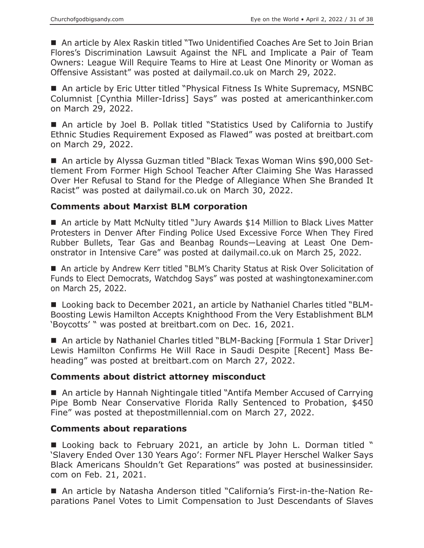An article by Alex Raskin titled "Two Unidentified Coaches Are Set to Join Brian Flores's Discrimination Lawsuit Against the NFL and Implicate a Pair of Team Owners: League Will Require Teams to Hire at Least One Minority or Woman as Offensive Assistant" was posted at dailymail.co.uk on March 29, 2022.

■ An article by Eric Utter titled "Physical Fitness Is White Supremacy, MSNBC Columnist [Cynthia Miller-Idriss] Says" was posted at americanthinker.com on March 29, 2022.

 An article by Joel B. Pollak titled "Statistics Used by California to Justify Ethnic Studies Requirement Exposed as Flawed" was posted at breitbart.com on March 29, 2022.

■ An article by Alyssa Guzman titled "Black Texas Woman Wins \$90,000 Settlement From Former High School Teacher After Claiming She Was Harassed Over Her Refusal to Stand for the Pledge of Allegiance When She Branded It Racist" was posted at dailymail.co.uk on March 30, 2022.

#### **Comments about Marxist BLM corporation**

■ An article by Matt McNulty titled "Jury Awards \$14 Million to Black Lives Matter Protesters in Denver After Finding Police Used Excessive Force When They Fired Rubber Bullets, Tear Gas and Beanbag Rounds—Leaving at Least One Demonstrator in Intensive Care" was posted at dailymail.co.uk on March 25, 2022.

■ An article by Andrew Kerr titled "BLM's Charity Status at Risk Over Solicitation of Funds to Elect Democrats, Watchdog Says" was posted at washingtonexaminer.com on March 25, 2022.

■ Looking back to December 2021, an article by Nathaniel Charles titled "BLM-Boosting Lewis Hamilton Accepts Knighthood From the Very Establishment BLM 'Boycotts' " was posted at breitbart.com on Dec. 16, 2021.

■ An article by Nathaniel Charles titled "BLM-Backing [Formula 1 Star Driver] Lewis Hamilton Confirms He Will Race in Saudi Despite [Recent] Mass Beheading" was posted at breitbart.com on March 27, 2022.

## **Comments about district attorney misconduct**

■ An article by Hannah Nightingale titled "Antifa Member Accused of Carrying Pipe Bomb Near Conservative Florida Rally Sentenced to Probation, \$450 Fine" was posted at thepostmillennial.com on March 27, 2022.

#### **Comments about reparations**

■ Looking back to February 2021, an article by John L. Dorman titled " 'Slavery Ended Over 130 Years Ago': Former NFL Player Herschel Walker Says Black Americans Shouldn't Get Reparations" was posted at businessinsider. com on Feb. 21, 2021.

 An article by Natasha Anderson titled "California's First-in-the-Nation Reparations Panel Votes to Limit Compensation to Just Descendants of Slaves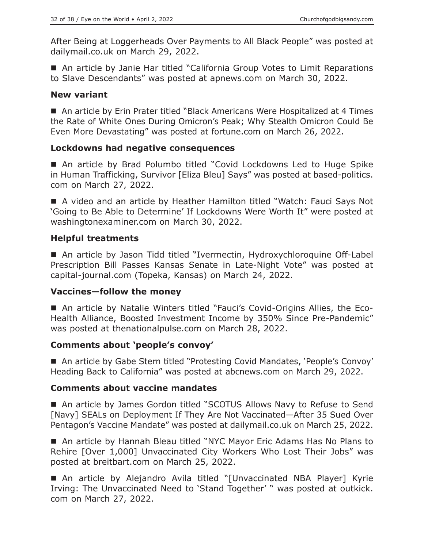After Being at Loggerheads Over Payments to All Black People" was posted at dailymail.co.uk on March 29, 2022.

■ An article by Janie Har titled "California Group Votes to Limit Reparations to Slave Descendants" was posted at apnews.com on March 30, 2022.

#### **New variant**

■ An article by Erin Prater titled "Black Americans Were Hospitalized at 4 Times the Rate of White Ones During Omicron's Peak; Why Stealth Omicron Could Be Even More Devastating" was posted at fortune.com on March 26, 2022.

## **Lockdowns had negative consequences**

■ An article by Brad Polumbo titled "Covid Lockdowns Led to Huge Spike in Human Trafficking, Survivor [Eliza Bleu] Says" was posted at based-politics. com on March 27, 2022.

■ A video and an article by Heather Hamilton titled "Watch: Fauci Says Not 'Going to Be Able to Determine' If Lockdowns Were Worth It" were posted at washingtonexaminer.com on March 30, 2022.

## **Helpful treatments**

■ An article by Jason Tidd titled "Ivermectin, Hydroxychloroquine Off-Label Prescription Bill Passes Kansas Senate in Late-Night Vote" was posted at capital-journal.com (Topeka, Kansas) on March 24, 2022.

#### **Vaccines—follow the money**

 An article by Natalie Winters titled "Fauci's Covid-Origins Allies, the Eco-Health Alliance, Boosted Investment Income by 350% Since Pre-Pandemic" was posted at thenationalpulse.com on March 28, 2022.

## **Comments about 'people's convoy'**

■ An article by Gabe Stern titled "Protesting Covid Mandates, 'People's Convoy' Heading Back to California" was posted at abcnews.com on March 29, 2022.

#### **Comments about vaccine mandates**

■ An article by James Gordon titled "SCOTUS Allows Navy to Refuse to Send [Navy] SEALs on Deployment If They Are Not Vaccinated—After 35 Sued Over Pentagon's Vaccine Mandate" was posted at dailymail.co.uk on March 25, 2022.

■ An article by Hannah Bleau titled "NYC Mayor Eric Adams Has No Plans to Rehire [Over 1,000] Unvaccinated City Workers Who Lost Their Jobs" was posted at breitbart.com on March 25, 2022.

 An article by Alejandro Avila titled "[Unvaccinated NBA Player] Kyrie Irving: The Unvaccinated Need to 'Stand Together' " was posted at outkick. com on March 27, 2022.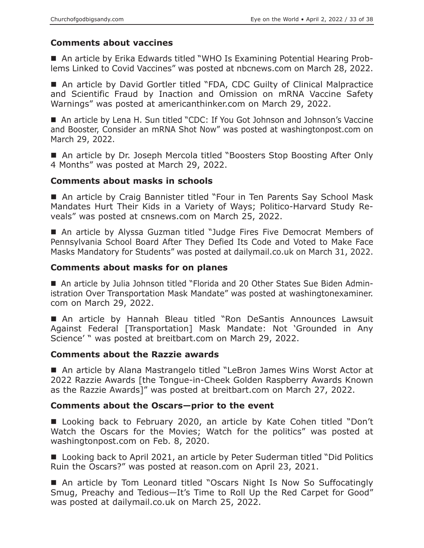# **Comments about vaccines**

 An article by Erika Edwards titled "WHO Is Examining Potential Hearing Problems Linked to Covid Vaccines" was posted at nbcnews.com on March 28, 2022.

■ An article by David Gortler titled "FDA, CDC Guilty of Clinical Malpractice and Scientific Fraud by Inaction and Omission on mRNA Vaccine Safety Warnings" was posted at americanthinker.com on March 29, 2022.

■ An article by Lena H. Sun titled "CDC: If You Got Johnson and Johnson's Vaccine and Booster, Consider an mRNA Shot Now" was posted at washingtonpost.com on March 29, 2022.

■ An article by Dr. Joseph Mercola titled "Boosters Stop Boosting After Only 4 Months" was posted at March 29, 2022.

#### **Comments about masks in schools**

■ An article by Craig Bannister titled "Four in Ten Parents Say School Mask Mandates Hurt Their Kids in a Variety of Ways; Politico-Harvard Study Reveals" was posted at cnsnews.com on March 25, 2022.

■ An article by Alyssa Guzman titled "Judge Fires Five Democrat Members of Pennsylvania School Board After They Defied Its Code and Voted to Make Face Masks Mandatory for Students" was posted at dailymail.co.uk on March 31, 2022.

## **Comments about masks for on planes**

 An article by Julia Johnson titled "Florida and 20 Other States Sue Biden Administration Over Transportation Mask Mandate" was posted at washingtonexaminer. com on March 29, 2022.

■ An article by Hannah Bleau titled "Ron DeSantis Announces Lawsuit Against Federal [Transportation] Mask Mandate: Not 'Grounded in Any Science' " was posted at breitbart.com on March 29, 2022.

## **Comments about the Razzie awards**

■ An article by Alana Mastrangelo titled "LeBron James Wins Worst Actor at 2022 Razzie Awards [the Tongue-in-Cheek Golden Raspberry Awards Known as the Razzie Awards]" was posted at breitbart.com on March 27, 2022.

## **Comments about the Oscars—prior to the event**

■ Looking back to February 2020, an article by Kate Cohen titled "Don't Watch the Oscars for the Movies; Watch for the politics" was posted at washingtonpost.com on Feb. 8, 2020.

■ Looking back to April 2021, an article by Peter Suderman titled "Did Politics Ruin the Oscars?" was posted at reason.com on April 23, 2021.

■ An article by Tom Leonard titled "Oscars Night Is Now So Suffocatingly Smug, Preachy and Tedious—It's Time to Roll Up the Red Carpet for Good" was posted at dailymail.co.uk on March 25, 2022.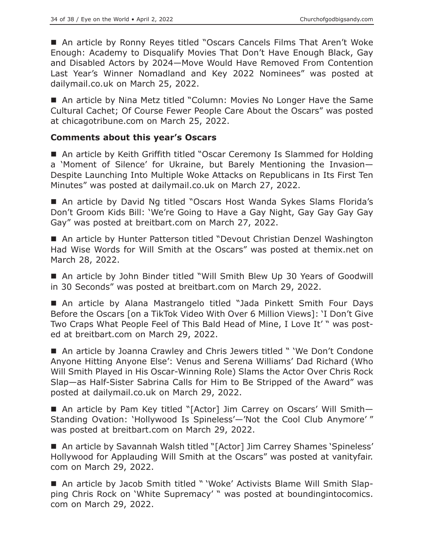■ An article by Ronny Reyes titled "Oscars Cancels Films That Aren't Woke Enough: Academy to Disqualify Movies That Don't Have Enough Black, Gay and Disabled Actors by 2024—Move Would Have Removed From Contention Last Year's Winner Nomadland and Key 2022 Nominees" was posted at dailymail.co.uk on March 25, 2022.

■ An article by Nina Metz titled "Column: Movies No Longer Have the Same Cultural Cachet; Of Course Fewer People Care About the Oscars" was posted at chicagotribune.com on March 25, 2022.

## **Comments about this year's Oscars**

■ An article by Keith Griffith titled "Oscar Ceremony Is Slammed for Holding a 'Moment of Silence' for Ukraine, but Barely Mentioning the Invasion— Despite Launching Into Multiple Woke Attacks on Republicans in Its First Ten Minutes" was posted at dailymail.co.uk on March 27, 2022.

■ An article by David Ng titled "Oscars Host Wanda Sykes Slams Florida's Don't Groom Kids Bill: 'We're Going to Have a Gay Night, Gay Gay Gay Gay Gay" was posted at breitbart.com on March 27, 2022.

■ An article by Hunter Patterson titled "Devout Christian Denzel Washington Had Wise Words for Will Smith at the Oscars" was posted at themix.net on March 28, 2022.

 An article by John Binder titled "Will Smith Blew Up 30 Years of Goodwill in 30 Seconds" was posted at breitbart.com on March 29, 2022.

 An article by Alana Mastrangelo titled "Jada Pinkett Smith Four Days Before the Oscars [on a TikTok Video With Over 6 Million Views]: 'I Don't Give Two Craps What People Feel of This Bald Head of Mine, I Love It' " was posted at breitbart.com on March 29, 2022.

■ An article by Joanna Crawley and Chris Jewers titled " 'We Don't Condone Anyone Hitting Anyone Else': Venus and Serena Williams' Dad Richard (Who Will Smith Played in His Oscar-Winning Role) Slams the Actor Over Chris Rock Slap—as Half-Sister Sabrina Calls for Him to Be Stripped of the Award" was posted at dailymail.co.uk on March 29, 2022.

■ An article by Pam Key titled "[Actor] Jim Carrey on Oscars' Will Smith-Standing Ovation: 'Hollywood Is Spineless'—'Not the Cool Club Anymore' " was posted at breitbart.com on March 29, 2022.

■ An article by Savannah Walsh titled "[Actor] Jim Carrey Shames 'Spineless' Hollywood for Applauding Will Smith at the Oscars" was posted at vanityfair. com on March 29, 2022.

 An article by Jacob Smith titled " 'Woke' Activists Blame Will Smith Slapping Chris Rock on 'White Supremacy' " was posted at boundingintocomics. com on March 29, 2022.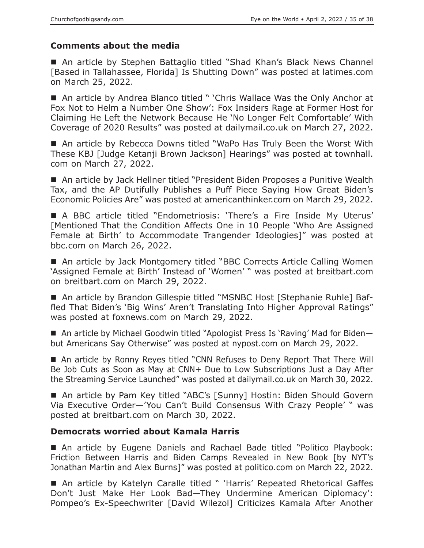# **Comments about the media**

■ An article by Stephen Battaglio titled "Shad Khan's Black News Channel [Based in Tallahassee, Florida] Is Shutting Down" was posted at latimes.com on March 25, 2022.

■ An article by Andrea Blanco titled " 'Chris Wallace Was the Only Anchor at Fox Not to Helm a Number One Show': Fox Insiders Rage at Former Host for Claiming He Left the Network Because He 'No Longer Felt Comfortable' With Coverage of 2020 Results" was posted at dailymail.co.uk on March 27, 2022.

■ An article by Rebecca Downs titled "WaPo Has Truly Been the Worst With These KBJ [Judge Ketanji Brown Jackson] Hearings" was posted at townhall. com on March 27, 2022.

■ An article by Jack Hellner titled "President Biden Proposes a Punitive Wealth Tax, and the AP Dutifully Publishes a Puff Piece Saying How Great Biden's Economic Policies Are" was posted at americanthinker.com on March 29, 2022.

■ A BBC article titled "Endometriosis: 'There's a Fire Inside My Uterus' [Mentioned That the Condition Affects One in 10 People 'Who Are Assigned Female at Birth' to Accommodate Trangender Ideologies]" was posted at bbc.com on March 26, 2022.

■ An article by Jack Montgomery titled "BBC Corrects Article Calling Women 'Assigned Female at Birth' Instead of 'Women' " was posted at breitbart.com on breitbart.com on March 29, 2022.

■ An article by Brandon Gillespie titled "MSNBC Host [Stephanie Ruhle] Baffled That Biden's 'Big Wins' Aren't Translating Into Higher Approval Ratings" was posted at foxnews.com on March 29, 2022.

■ An article by Michael Goodwin titled "Apologist Press Is 'Raving' Mad for Bidenbut Americans Say Otherwise" was posted at nypost.com on March 29, 2022.

■ An article by Ronny Reyes titled "CNN Refuses to Deny Report That There Will Be Job Cuts as Soon as May at CNN+ Due to Low Subscriptions Just a Day After the Streaming Service Launched" was posted at dailymail.co.uk on March 30, 2022.

■ An article by Pam Key titled "ABC's [Sunny] Hostin: Biden Should Govern Via Executive Order—'You Can't Build Consensus With Crazy People' " was posted at breitbart.com on March 30, 2022.

# **Democrats worried about Kamala Harris**

 An article by Eugene Daniels and Rachael Bade titled "Politico Playbook: Friction Between Harris and Biden Camps Revealed in New Book [by NYT's Jonathan Martin and Alex Burns]" was posted at politico.com on March 22, 2022.

■ An article by Katelyn Caralle titled " 'Harris' Repeated Rhetorical Gaffes Don't Just Make Her Look Bad—They Undermine American Diplomacy': Pompeo's Ex-Speechwriter [David Wilezol] Criticizes Kamala After Another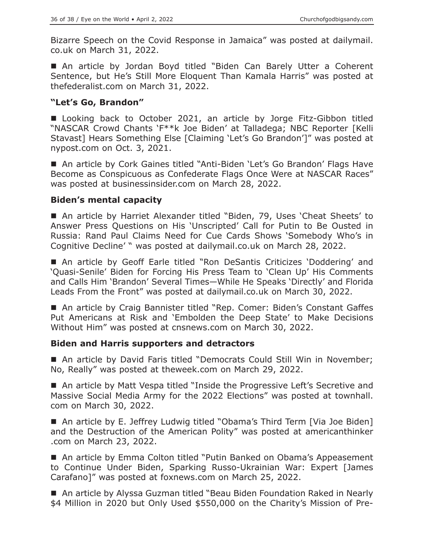Bizarre Speech on the Covid Response in Jamaica" was posted at dailymail. co.uk on March 31, 2022.

 An article by Jordan Boyd titled "Biden Can Barely Utter a Coherent Sentence, but He's Still More Eloquent Than Kamala Harris" was posted at thefederalist.com on March 31, 2022.

## **"Let's Go, Brandon"**

■ Looking back to October 2021, an article by Jorge Fitz-Gibbon titled "NASCAR Crowd Chants 'F\*\*k Joe Biden' at Talladega; NBC Reporter [Kelli Stavast] Hears Something Else [Claiming 'Let's Go Brandon']" was posted at nypost.com on Oct. 3, 2021.

■ An article by Cork Gaines titled "Anti-Biden 'Let's Go Brandon' Flags Have Become as Conspicuous as Confederate Flags Once Were at NASCAR Races" was posted at businessinsider.com on March 28, 2022.

# **Biden's mental capacity**

■ An article by Harriet Alexander titled "Biden, 79, Uses 'Cheat Sheets' to Answer Press Questions on His 'Unscripted' Call for Putin to Be Ousted in Russia: Rand Paul Claims Need for Cue Cards Shows 'Somebody Who's in Cognitive Decline' " was posted at dailymail.co.uk on March 28, 2022.

■ An article by Geoff Earle titled "Ron DeSantis Criticizes 'Doddering' and 'Quasi-Senile' Biden for Forcing His Press Team to 'Clean Up' His Comments and Calls Him 'Brandon' Several Times—While He Speaks 'Directly' and Florida Leads From the Front" was posted at dailymail.co.uk on March 30, 2022.

■ An article by Craig Bannister titled "Rep. Comer: Biden's Constant Gaffes Put Americans at Risk and 'Embolden the Deep State' to Make Decisions Without Him" was posted at cnsnews.com on March 30, 2022.

## **Biden and Harris supporters and detractors**

■ An article by David Faris titled "Democrats Could Still Win in November; No, Really" was posted at theweek.com on March 29, 2022.

■ An article by Matt Vespa titled "Inside the Progressive Left's Secretive and Massive Social Media Army for the 2022 Elections" was posted at townhall. com on March 30, 2022.

■ An article by E. Jeffrey Ludwig titled "Obama's Third Term [Via Joe Biden] and the Destruction of the American Polity" was posted at americanthinker .com on March 23, 2022.

■ An article by Emma Colton titled "Putin Banked on Obama's Appeasement to Continue Under Biden, Sparking Russo-Ukrainian War: Expert [James Carafano]" was posted at foxnews.com on March 25, 2022.

■ An article by Alyssa Guzman titled "Beau Biden Foundation Raked in Nearly \$4 Million in 2020 but Only Used \$550,000 on the Charity's Mission of Pre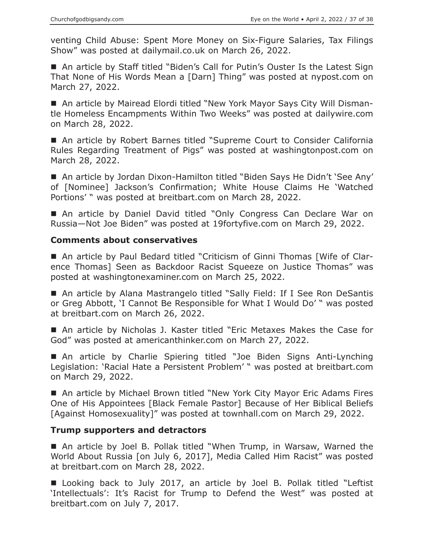venting Child Abuse: Spent More Money on Six-Figure Salaries, Tax Filings Show" was posted at dailymail.co.uk on March 26, 2022.

■ An article by Staff titled "Biden's Call for Putin's Ouster Is the Latest Sign That None of His Words Mean a [Darn] Thing" was posted at nypost.com on March 27, 2022.

■ An article by Mairead Elordi titled "New York Mayor Says City Will Dismantle Homeless Encampments Within Two Weeks" was posted at dailywire.com on March 28, 2022.

■ An article by Robert Barnes titled "Supreme Court to Consider California Rules Regarding Treatment of Pigs" was posted at washingtonpost.com on March 28, 2022.

■ An article by Jordan Dixon-Hamilton titled "Biden Says He Didn't 'See Any' of [Nominee] Jackson's Confirmation; White House Claims He 'Watched Portions' " was posted at breitbart.com on March 28, 2022.

■ An article by Daniel David titled "Only Congress Can Declare War on Russia—Not Joe Biden" was posted at 19fortyfive.com on March 29, 2022.

#### **Comments about conservatives**

 An article by Paul Bedard titled "Criticism of Ginni Thomas [Wife of Clarence Thomas] Seen as Backdoor Racist Squeeze on Justice Thomas" was posted at washingtonexaminer.com on March 25, 2022.

■ An article by Alana Mastrangelo titled "Sally Field: If I See Ron DeSantis or Greg Abbott, 'I Cannot Be Responsible for What I Would Do' " was posted at breitbart.com on March 26, 2022.

■ An article by Nicholas J. Kaster titled "Eric Metaxes Makes the Case for God" was posted at americanthinker.com on March 27, 2022.

 An article by Charlie Spiering titled "Joe Biden Signs Anti-Lynching Legislation: 'Racial Hate a Persistent Problem' " was posted at breitbart.com on March 29, 2022.

■ An article by Michael Brown titled "New York City Mayor Eric Adams Fires One of His Appointees [Black Female Pastor] Because of Her Biblical Beliefs [Against Homosexuality]" was posted at townhall.com on March 29, 2022.

#### **Trump supporters and detractors**

 An article by Joel B. Pollak titled "When Trump, in Warsaw, Warned the World About Russia [on July 6, 2017], Media Called Him Racist" was posted at breitbart.com on March 28, 2022.

■ Looking back to July 2017, an article by Joel B. Pollak titled "Leftist 'Intellectuals': It's Racist for Trump to Defend the West" was posted at breitbart.com on July 7, 2017.